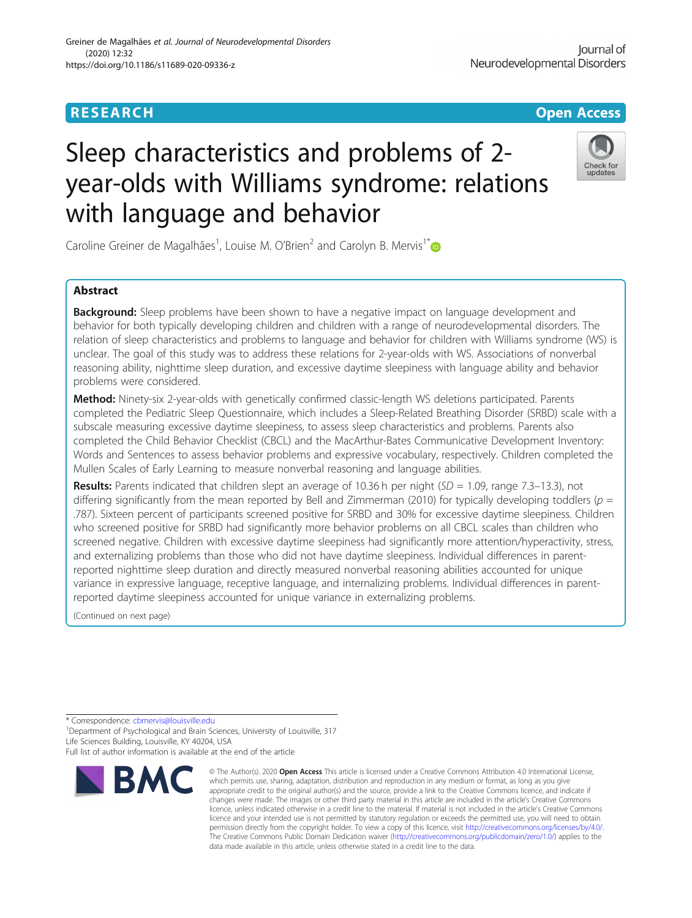# **RESEARCH CHEAR CHEAR CHEAR CHEAR CHEAR CHEAR CHEAR CHEAR CHEAR CHEAR CHEAR CHEAR CHEAR CHEAR CHEAR CHEAR CHEAR**

# Sleep characteristics and problems of 2 year-olds with Williams syndrome: relations with language and behavior



Caroline Greiner de Magalhães<sup>1</sup>, Louise M. O'Brien<sup>2</sup> and Carolyn B. Mervis<sup>1\*</sup>

# Abstract

**Background:** Sleep problems have been shown to have a negative impact on language development and behavior for both typically developing children and children with a range of neurodevelopmental disorders. The relation of sleep characteristics and problems to language and behavior for children with Williams syndrome (WS) is unclear. The goal of this study was to address these relations for 2-year-olds with WS. Associations of nonverbal reasoning ability, nighttime sleep duration, and excessive daytime sleepiness with language ability and behavior problems were considered.

Method: Ninety-six 2-year-olds with genetically confirmed classic-length WS deletions participated. Parents completed the Pediatric Sleep Questionnaire, which includes a Sleep-Related Breathing Disorder (SRBD) scale with a subscale measuring excessive daytime sleepiness, to assess sleep characteristics and problems. Parents also completed the Child Behavior Checklist (CBCL) and the MacArthur-Bates Communicative Development Inventory: Words and Sentences to assess behavior problems and expressive vocabulary, respectively. Children completed the Mullen Scales of Early Learning to measure nonverbal reasoning and language abilities.

**Results:** Parents indicated that children slept an average of 10.36 h per night ( $SD = 1.09$ , range 7.3–13.3), not differing significantly from the mean reported by Bell and Zimmerman (2010) for typically developing toddlers ( $p =$ .787). Sixteen percent of participants screened positive for SRBD and 30% for excessive daytime sleepiness. Children who screened positive for SRBD had significantly more behavior problems on all CBCL scales than children who screened negative. Children with excessive daytime sleepiness had significantly more attention/hyperactivity, stress, and externalizing problems than those who did not have daytime sleepiness. Individual differences in parentreported nighttime sleep duration and directly measured nonverbal reasoning abilities accounted for unique variance in expressive language, receptive language, and internalizing problems. Individual differences in parentreported daytime sleepiness accounted for unique variance in externalizing problems.

(Continued on next page)

\* Correspondence: [cbmervis@louisville.edu](mailto:cbmervis@louisville.edu) <sup>1</sup>

<sup>1</sup>Department of Psychological and Brain Sciences, University of Louisville, 317 Life Sciences Building, Louisville, KY 40204, USA

Full list of author information is available at the end of the article



<sup>©</sup> The Author(s), 2020 **Open Access** This article is licensed under a Creative Commons Attribution 4.0 International License, which permits use, sharing, adaptation, distribution and reproduction in any medium or format, as long as you give appropriate credit to the original author(s) and the source, provide a link to the Creative Commons licence, and indicate if changes were made. The images or other third party material in this article are included in the article's Creative Commons licence, unless indicated otherwise in a credit line to the material. If material is not included in the article's Creative Commons licence and your intended use is not permitted by statutory regulation or exceeds the permitted use, you will need to obtain permission directly from the copyright holder. To view a copy of this licence, visit [http://creativecommons.org/licenses/by/4.0/.](http://creativecommons.org/licenses/by/4.0/) The Creative Commons Public Domain Dedication waiver [\(http://creativecommons.org/publicdomain/zero/1.0/](http://creativecommons.org/publicdomain/zero/1.0/)) applies to the data made available in this article, unless otherwise stated in a credit line to the data.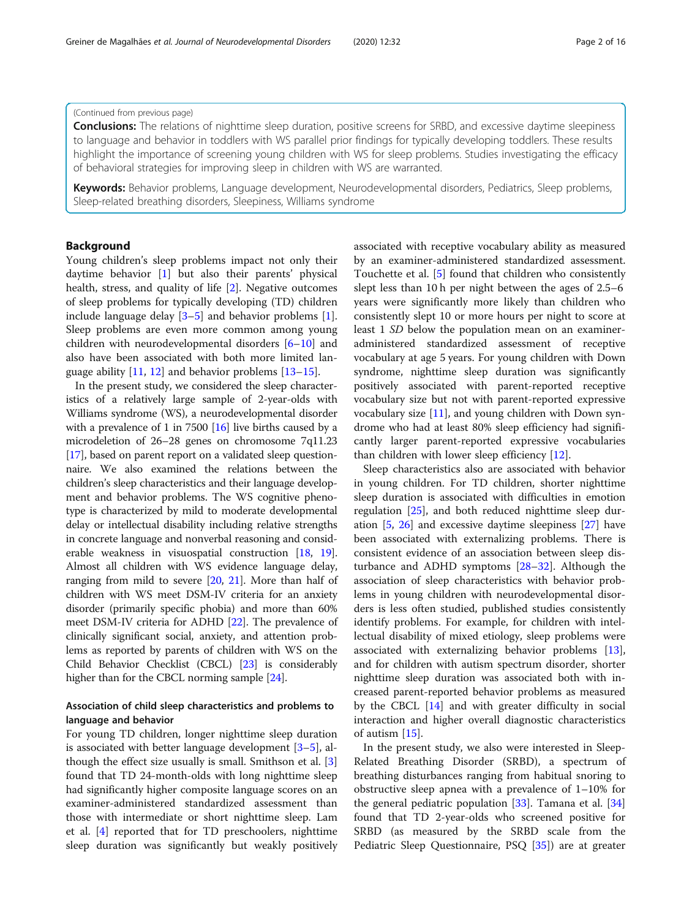# (Continued from previous page)

**Conclusions:** The relations of nighttime sleep duration, positive screens for SRBD, and excessive daytime sleepiness to language and behavior in toddlers with WS parallel prior findings for typically developing toddlers. These results highlight the importance of screening young children with WS for sleep problems. Studies investigating the efficacy of behavioral strategies for improving sleep in children with WS are warranted.

Keywords: Behavior problems, Language development, Neurodevelopmental disorders, Pediatrics, Sleep problems, Sleep-related breathing disorders, Sleepiness, Williams syndrome

# Background

Young children's sleep problems impact not only their daytime behavior [\[1](#page-14-0)] but also their parents' physical health, stress, and quality of life [[2\]](#page-14-0). Negative outcomes of sleep problems for typically developing (TD) children include language delay [[3](#page-14-0)–[5](#page-14-0)] and behavior problems [\[1](#page-14-0)]. Sleep problems are even more common among young children with neurodevelopmental disorders [[6](#page-14-0)–[10](#page-14-0)] and also have been associated with both more limited language ability [[11,](#page-14-0) [12\]](#page-14-0) and behavior problems [[13](#page-14-0)–[15\]](#page-14-0).

In the present study, we considered the sleep characteristics of a relatively large sample of 2-year-olds with Williams syndrome (WS), a neurodevelopmental disorder with a prevalence of 1 in 7500  $[16]$  live births caused by a microdeletion of 26–28 genes on chromosome 7q11.23 [[17](#page-14-0)], based on parent report on a validated sleep questionnaire. We also examined the relations between the children's sleep characteristics and their language development and behavior problems. The WS cognitive phenotype is characterized by mild to moderate developmental delay or intellectual disability including relative strengths in concrete language and nonverbal reasoning and considerable weakness in visuospatial construction [[18](#page-14-0), [19](#page-14-0)]. Almost all children with WS evidence language delay, ranging from mild to severe [\[20,](#page-14-0) [21](#page-14-0)]. More than half of children with WS meet DSM-IV criteria for an anxiety disorder (primarily specific phobia) and more than 60% meet DSM-IV criteria for ADHD [\[22\]](#page-14-0). The prevalence of clinically significant social, anxiety, and attention problems as reported by parents of children with WS on the Child Behavior Checklist (CBCL) [\[23\]](#page-14-0) is considerably higher than for the CBCL norming sample [\[24](#page-14-0)].

# Association of child sleep characteristics and problems to language and behavior

For young TD children, longer nighttime sleep duration is associated with better language development [[3](#page-14-0)–[5\]](#page-14-0), although the effect size usually is small. Smithson et al. [\[3](#page-14-0)] found that TD 24-month-olds with long nighttime sleep had significantly higher composite language scores on an examiner-administered standardized assessment than those with intermediate or short nighttime sleep. Lam et al. [[4\]](#page-14-0) reported that for TD preschoolers, nighttime sleep duration was significantly but weakly positively associated with receptive vocabulary ability as measured by an examiner-administered standardized assessment. Touchette et al. [[5\]](#page-14-0) found that children who consistently slept less than 10 h per night between the ages of 2.5–6 years were significantly more likely than children who consistently slept 10 or more hours per night to score at least 1 SD below the population mean on an examineradministered standardized assessment of receptive vocabulary at age 5 years. For young children with Down syndrome, nighttime sleep duration was significantly positively associated with parent-reported receptive vocabulary size but not with parent-reported expressive vocabulary size [[11\]](#page-14-0), and young children with Down syndrome who had at least 80% sleep efficiency had significantly larger parent-reported expressive vocabularies than children with lower sleep efficiency [\[12](#page-14-0)].

Sleep characteristics also are associated with behavior in young children. For TD children, shorter nighttime sleep duration is associated with difficulties in emotion regulation [[25](#page-14-0)], and both reduced nighttime sleep duration [\[5](#page-14-0), [26](#page-14-0)] and excessive daytime sleepiness [\[27\]](#page-14-0) have been associated with externalizing problems. There is consistent evidence of an association between sleep disturbance and ADHD symptoms [\[28](#page-14-0)–[32\]](#page-14-0). Although the association of sleep characteristics with behavior problems in young children with neurodevelopmental disorders is less often studied, published studies consistently identify problems. For example, for children with intellectual disability of mixed etiology, sleep problems were associated with externalizing behavior problems [\[13](#page-14-0)], and for children with autism spectrum disorder, shorter nighttime sleep duration was associated both with increased parent-reported behavior problems as measured by the CBCL [\[14\]](#page-14-0) and with greater difficulty in social interaction and higher overall diagnostic characteristics of autism [\[15\]](#page-14-0).

In the present study, we also were interested in Sleep-Related Breathing Disorder (SRBD), a spectrum of breathing disturbances ranging from habitual snoring to obstructive sleep apnea with a prevalence of 1–10% for the general pediatric population [[33](#page-14-0)]. Tamana et al. [[34](#page-14-0)] found that TD 2-year-olds who screened positive for SRBD (as measured by the SRBD scale from the Pediatric Sleep Questionnaire, PSQ [[35\]](#page-14-0)) are at greater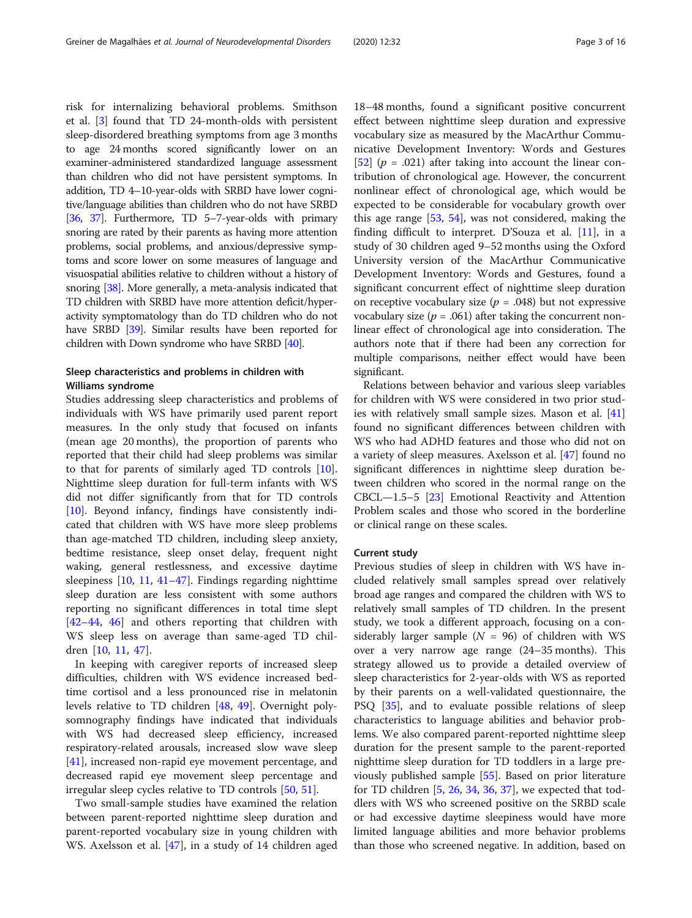risk for internalizing behavioral problems. Smithson et al. [\[3\]](#page-14-0) found that TD 24-month-olds with persistent sleep-disordered breathing symptoms from age 3 months to age 24 months scored significantly lower on an examiner-administered standardized language assessment than children who did not have persistent symptoms. In addition, TD 4–10-year-olds with SRBD have lower cognitive/language abilities than children who do not have SRBD [[36](#page-14-0), [37\]](#page-15-0). Furthermore, TD 5-7-year-olds with primary snoring are rated by their parents as having more attention problems, social problems, and anxious/depressive symptoms and score lower on some measures of language and visuospatial abilities relative to children without a history of snoring [\[38](#page-15-0)]. More generally, a meta-analysis indicated that TD children with SRBD have more attention deficit/hyperactivity symptomatology than do TD children who do not have SRBD [\[39\]](#page-15-0). Similar results have been reported for children with Down syndrome who have SRBD [[40](#page-15-0)].

# Sleep characteristics and problems in children with Williams syndrome

Studies addressing sleep characteristics and problems of individuals with WS have primarily used parent report measures. In the only study that focused on infants (mean age 20 months), the proportion of parents who reported that their child had sleep problems was similar to that for parents of similarly aged TD controls [\[10](#page-14-0)]. Nighttime sleep duration for full-term infants with WS did not differ significantly from that for TD controls [[10\]](#page-14-0). Beyond infancy, findings have consistently indicated that children with WS have more sleep problems than age-matched TD children, including sleep anxiety, bedtime resistance, sleep onset delay, frequent night waking, general restlessness, and excessive daytime sleepiness [[10,](#page-14-0) [11](#page-14-0), [41](#page-15-0)–[47\]](#page-15-0). Findings regarding nighttime sleep duration are less consistent with some authors reporting no significant differences in total time slept [[42](#page-15-0)–[44,](#page-15-0) [46\]](#page-15-0) and others reporting that children with WS sleep less on average than same-aged TD children [[10,](#page-14-0) [11](#page-14-0), [47](#page-15-0)].

In keeping with caregiver reports of increased sleep difficulties, children with WS evidence increased bedtime cortisol and a less pronounced rise in melatonin levels relative to TD children [\[48](#page-15-0), [49](#page-15-0)]. Overnight polysomnography findings have indicated that individuals with WS had decreased sleep efficiency, increased respiratory-related arousals, increased slow wave sleep [[41\]](#page-15-0), increased non-rapid eye movement percentage, and decreased rapid eye movement sleep percentage and irregular sleep cycles relative to TD controls [[50](#page-15-0), [51](#page-15-0)].

Two small-sample studies have examined the relation between parent-reported nighttime sleep duration and parent-reported vocabulary size in young children with WS. Axelsson et al. [\[47](#page-15-0)], in a study of 14 children aged

18–48 months, found a significant positive concurrent effect between nighttime sleep duration and expressive vocabulary size as measured by the MacArthur Communicative Development Inventory: Words and Gestures [[52\]](#page-15-0)  $(p = .021)$  after taking into account the linear contribution of chronological age. However, the concurrent nonlinear effect of chronological age, which would be expected to be considerable for vocabulary growth over this age range [\[53](#page-15-0), [54\]](#page-15-0), was not considered, making the finding difficult to interpret. D'Souza et al. [[11](#page-14-0)], in a study of 30 children aged 9–52 months using the Oxford University version of the MacArthur Communicative Development Inventory: Words and Gestures, found a significant concurrent effect of nighttime sleep duration on receptive vocabulary size ( $p = .048$ ) but not expressive vocabulary size ( $p = .061$ ) after taking the concurrent nonlinear effect of chronological age into consideration. The authors note that if there had been any correction for multiple comparisons, neither effect would have been significant.

Relations between behavior and various sleep variables for children with WS were considered in two prior studies with relatively small sample sizes. Mason et al. [[41](#page-15-0)] found no significant differences between children with WS who had ADHD features and those who did not on a variety of sleep measures. Axelsson et al. [\[47\]](#page-15-0) found no significant differences in nighttime sleep duration between children who scored in the normal range on the CBCL—1.5–5 [\[23](#page-14-0)] Emotional Reactivity and Attention Problem scales and those who scored in the borderline or clinical range on these scales.

#### Current study

Previous studies of sleep in children with WS have included relatively small samples spread over relatively broad age ranges and compared the children with WS to relatively small samples of TD children. In the present study, we took a different approach, focusing on a considerably larger sample  $(N = 96)$  of children with WS over a very narrow age range (24–35 months). This strategy allowed us to provide a detailed overview of sleep characteristics for 2-year-olds with WS as reported by their parents on a well-validated questionnaire, the PSQ [[35\]](#page-14-0), and to evaluate possible relations of sleep characteristics to language abilities and behavior problems. We also compared parent-reported nighttime sleep duration for the present sample to the parent-reported nighttime sleep duration for TD toddlers in a large previously published sample [[55\]](#page-15-0). Based on prior literature for TD children [[5,](#page-14-0) [26,](#page-14-0) [34,](#page-14-0) [36,](#page-14-0) [37\]](#page-15-0), we expected that toddlers with WS who screened positive on the SRBD scale or had excessive daytime sleepiness would have more limited language abilities and more behavior problems than those who screened negative. In addition, based on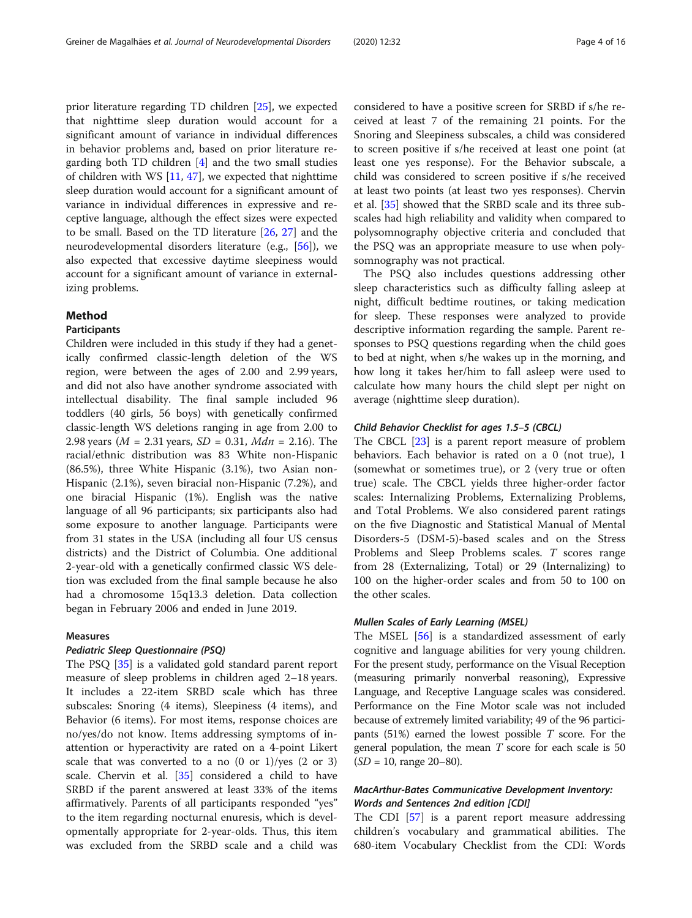prior literature regarding TD children [\[25\]](#page-14-0), we expected that nighttime sleep duration would account for a significant amount of variance in individual differences in behavior problems and, based on prior literature regarding both TD children [\[4](#page-14-0)] and the two small studies of children with WS [[11,](#page-14-0) [47\]](#page-15-0), we expected that nighttime sleep duration would account for a significant amount of variance in individual differences in expressive and receptive language, although the effect sizes were expected to be small. Based on the TD literature [\[26](#page-14-0), [27\]](#page-14-0) and the neurodevelopmental disorders literature (e.g., [\[56\]](#page-15-0)), we also expected that excessive daytime sleepiness would account for a significant amount of variance in externalizing problems.

# Method

# Participants

Children were included in this study if they had a genetically confirmed classic-length deletion of the WS region, were between the ages of 2.00 and 2.99 years, and did not also have another syndrome associated with intellectual disability. The final sample included 96 toddlers (40 girls, 56 boys) with genetically confirmed classic-length WS deletions ranging in age from 2.00 to 2.98 years ( $M = 2.31$  years,  $SD = 0.31$ ,  $Mdn = 2.16$ ). The racial/ethnic distribution was 83 White non-Hispanic (86.5%), three White Hispanic (3.1%), two Asian non-Hispanic (2.1%), seven biracial non-Hispanic (7.2%), and one biracial Hispanic (1%). English was the native language of all 96 participants; six participants also had some exposure to another language. Participants were from 31 states in the USA (including all four US census districts) and the District of Columbia. One additional 2-year-old with a genetically confirmed classic WS deletion was excluded from the final sample because he also had a chromosome 15q13.3 deletion. Data collection began in February 2006 and ended in June 2019.

# Measures

## Pediatric Sleep Questionnaire (PSQ)

The PSQ [\[35](#page-14-0)] is a validated gold standard parent report measure of sleep problems in children aged 2–18 years. It includes a 22-item SRBD scale which has three subscales: Snoring (4 items), Sleepiness (4 items), and Behavior (6 items). For most items, response choices are no/yes/do not know. Items addressing symptoms of inattention or hyperactivity are rated on a 4-point Likert scale that was converted to a no  $(0 \text{ or } 1)/\text{yes } (2 \text{ or } 3)$ scale. Chervin et al. [[35](#page-14-0)] considered a child to have SRBD if the parent answered at least 33% of the items affirmatively. Parents of all participants responded "yes" to the item regarding nocturnal enuresis, which is developmentally appropriate for 2-year-olds. Thus, this item was excluded from the SRBD scale and a child was considered to have a positive screen for SRBD if s/he received at least 7 of the remaining 21 points. For the Snoring and Sleepiness subscales, a child was considered to screen positive if s/he received at least one point (at least one yes response). For the Behavior subscale, a child was considered to screen positive if s/he received at least two points (at least two yes responses). Chervin et al. [[35\]](#page-14-0) showed that the SRBD scale and its three subscales had high reliability and validity when compared to polysomnography objective criteria and concluded that the PSQ was an appropriate measure to use when polysomnography was not practical.

The PSQ also includes questions addressing other sleep characteristics such as difficulty falling asleep at night, difficult bedtime routines, or taking medication for sleep. These responses were analyzed to provide descriptive information regarding the sample. Parent responses to PSQ questions regarding when the child goes to bed at night, when s/he wakes up in the morning, and how long it takes her/him to fall asleep were used to calculate how many hours the child slept per night on average (nighttime sleep duration).

#### Child Behavior Checklist for ages 1.5–5 (CBCL)

The CBCL [\[23](#page-14-0)] is a parent report measure of problem behaviors. Each behavior is rated on a 0 (not true), 1 (somewhat or sometimes true), or 2 (very true or often true) scale. The CBCL yields three higher-order factor scales: Internalizing Problems, Externalizing Problems, and Total Problems. We also considered parent ratings on the five Diagnostic and Statistical Manual of Mental Disorders-5 (DSM-5)-based scales and on the Stress Problems and Sleep Problems scales. T scores range from 28 (Externalizing, Total) or 29 (Internalizing) to 100 on the higher-order scales and from 50 to 100 on the other scales.

## Mullen Scales of Early Learning (MSEL)

The MSEL [[56](#page-15-0)] is a standardized assessment of early cognitive and language abilities for very young children. For the present study, performance on the Visual Reception (measuring primarily nonverbal reasoning), Expressive Language, and Receptive Language scales was considered. Performance on the Fine Motor scale was not included because of extremely limited variability; 49 of the 96 participants  $(51%)$  earned the lowest possible T score. For the general population, the mean  $T$  score for each scale is 50  $(SD = 10, \text{ range } 20 - 80).$ 

# MacArthur-Bates Communicative Development Inventory: Words and Sentences 2nd edition [CDI]

The CDI [\[57](#page-15-0)] is a parent report measure addressing children's vocabulary and grammatical abilities. The 680-item Vocabulary Checklist from the CDI: Words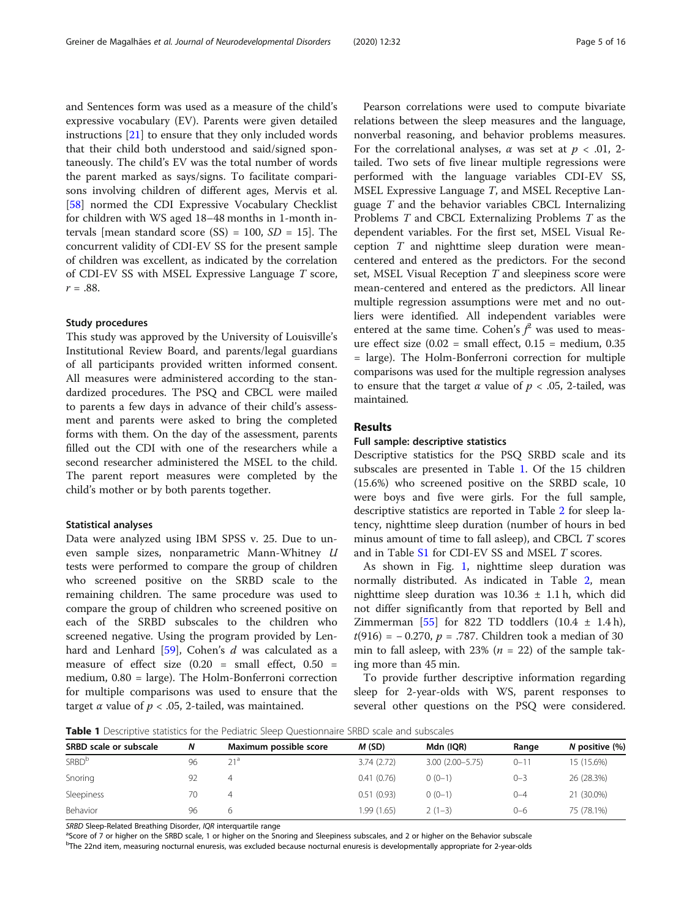and Sentences form was used as a measure of the child's expressive vocabulary (EV). Parents were given detailed instructions [\[21\]](#page-14-0) to ensure that they only included words that their child both understood and said/signed spontaneously. The child's EV was the total number of words the parent marked as says/signs. To facilitate comparisons involving children of different ages, Mervis et al. [[58\]](#page-15-0) normed the CDI Expressive Vocabulary Checklist for children with WS aged 18–48 months in 1-month intervals [mean standard score  $(SS) = 100$ ,  $SD = 15$ ]. The concurrent validity of CDI-EV SS for the present sample of children was excellent, as indicated by the correlation of CDI-EV SS with MSEL Expressive Language T score,  $r = .88$ .

# Study procedures

This study was approved by the University of Louisville's Institutional Review Board, and parents/legal guardians of all participants provided written informed consent. All measures were administered according to the standardized procedures. The PSQ and CBCL were mailed to parents a few days in advance of their child's assessment and parents were asked to bring the completed forms with them. On the day of the assessment, parents filled out the CDI with one of the researchers while a second researcher administered the MSEL to the child. The parent report measures were completed by the child's mother or by both parents together.

#### Statistical analyses

Data were analyzed using IBM SPSS v. 25. Due to uneven sample sizes, nonparametric Mann-Whitney U tests were performed to compare the group of children who screened positive on the SRBD scale to the remaining children. The same procedure was used to compare the group of children who screened positive on each of the SRBD subscales to the children who screened negative. Using the program provided by Lenhard and Lenhard  $[59]$  $[59]$ , Cohen's d was calculated as a measure of effect size  $(0.20)$  = small effect,  $0.50$  = medium, 0.80 = large). The Holm-Bonferroni correction for multiple comparisons was used to ensure that the target  $\alpha$  value of  $p < .05$ , 2-tailed, was maintained.

Pearson correlations were used to compute bivariate relations between the sleep measures and the language, nonverbal reasoning, and behavior problems measures. For the correlational analyses,  $\alpha$  was set at  $p < .01$ , 2tailed. Two sets of five linear multiple regressions were performed with the language variables CDI-EV SS, MSEL Expressive Language T, and MSEL Receptive Language  $T$  and the behavior variables CBCL Internalizing Problems T and CBCL Externalizing Problems T as the dependent variables. For the first set, MSEL Visual Reception  $T$  and nighttime sleep duration were meancentered and entered as the predictors. For the second set, MSEL Visual Reception T and sleepiness score were mean-centered and entered as the predictors. All linear multiple regression assumptions were met and no outliers were identified. All independent variables were entered at the same time. Cohen's  $f^2$  was used to measure effect size  $(0.02 = \text{small effect}, 0.15 = \text{medium}, 0.35)$ = large). The Holm-Bonferroni correction for multiple comparisons was used for the multiple regression analyses to ensure that the target  $\alpha$  value of  $p < .05$ , 2-tailed, was maintained.

# Results

## Full sample: descriptive statistics

Descriptive statistics for the PSQ SRBD scale and its subscales are presented in Table 1. Of the 15 children (15.6%) who screened positive on the SRBD scale, 10 were boys and five were girls. For the full sample, descriptive statistics are reported in Table [2](#page-5-0) for sleep latency, nighttime sleep duration (number of hours in bed minus amount of time to fall asleep), and CBCL T scores and in Table [S1](#page-13-0) for CDI-EV SS and MSEL T scores.

As shown in Fig. [1](#page-6-0), nighttime sleep duration was normally distributed. As indicated in Table [2,](#page-5-0) mean nighttime sleep duration was  $10.36 \pm 1.1$  h, which did not differ significantly from that reported by Bell and Zimmerman [\[55](#page-15-0)] for 822 TD toddlers  $(10.4 \pm 1.4 h)$ ,  $t(916) = -0.270$ ,  $p = .787$ . Children took a median of 30 min to fall asleep, with 23% ( $n = 22$ ) of the sample taking more than 45 min.

To provide further descriptive information regarding sleep for 2-year-olds with WS, parent responses to several other questions on the PSQ were considered.

**Table 1** Descriptive statistics for the Pediatric Sleep Questionnaire SRBD scale and subscales

| SRBD scale or subscale | N  | Maximum possible score | M(SD)       | Mdn (IQR)           | Range    | $N$ positive $(\%)$ |
|------------------------|----|------------------------|-------------|---------------------|----------|---------------------|
| SRBD <sup>b</sup>      | 96 | 21 <sup>a</sup>        | 3.74(2.72)  | $3.00(2.00 - 5.75)$ | $0 - 11$ | 15 (15.6%)          |
| Snoring                | 92 | 4                      | 0.41(0.76)  | $0(0-1)$            | $0 - 3$  | 26 (28.3%)          |
| Sleepiness             | 70 | 4                      | 0.51(0.93)  | $0(0-1)$            | $0 - 4$  | 21 (30.0%)          |
| Behavior               | 96 | 6                      | 1.99 (1.65) | $2(1-3)$            | $0 - 6$  | 75 (78.1%)          |

SRBD Sleep-Related Breathing Disorder, IQR interquartile range

<sup>a</sup>Score of 7 or higher on the SRBD scale, 1 or higher on the Snoring and Sleepiness subscales, and 2 or higher on the Behavior subscale

b The 22nd item, measuring nocturnal enuresis, was excluded because nocturnal enuresis is developmentally appropriate for 2-year-olds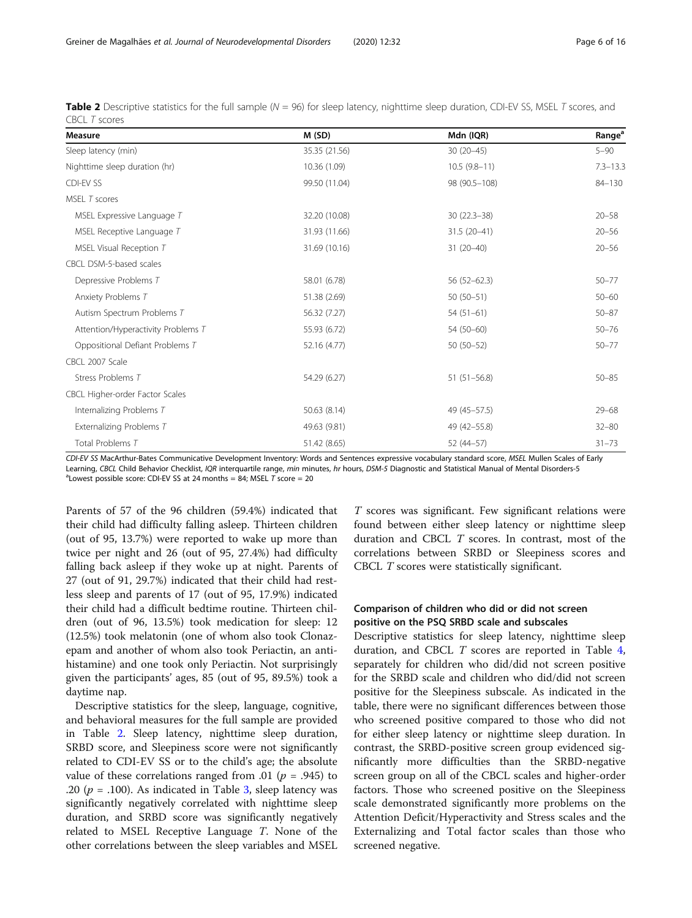| <b>Measure</b>                     | M(SD)         | Mdn (IQR)       | Range <sup>a</sup> |
|------------------------------------|---------------|-----------------|--------------------|
| Sleep latency (min)                | 35.35 (21.56) | $30(20-45)$     | $5 - 90$           |
| Nighttime sleep duration (hr)      | 10.36 (1.09)  | $10.5(9.8-11)$  | $7.3 - 13.3$       |
| CDI-EV SS                          | 99.50 (11.04) | 98 (90.5-108)   | $84 - 130$         |
| MSEL T scores                      |               |                 |                    |
| MSEL Expressive Language T         | 32.20 (10.08) | $30(22.3 - 38)$ | $20 - 58$          |
| MSEL Receptive Language T          | 31.93 (11.66) | $31.5(20-41)$   | $20 - 56$          |
| MSEL Visual Reception T            | 31.69 (10.16) | $31(20-40)$     | $20 - 56$          |
| CBCL DSM-5-based scales            |               |                 |                    |
| Depressive Problems T              | 58.01 (6.78)  | $56(52-62.3)$   | $50 - 77$          |
| Anxiety Problems T                 | 51.38 (2.69)  | $50(50-51)$     | $50 - 60$          |
| Autism Spectrum Problems T         | 56.32 (7.27)  | $54(51-61)$     | $50 - 87$          |
| Attention/Hyperactivity Problems T | 55.93 (6.72)  | 54 (50-60)      | $50 - 76$          |
| Oppositional Defiant Problems T    | 52.16 (4.77)  | $50(50-52)$     | $50 - 77$          |
| CBCL 2007 Scale                    |               |                 |                    |
| Stress Problems T                  | 54.29 (6.27)  | $51(51 - 56.8)$ | $50 - 85$          |
| CBCL Higher-order Factor Scales    |               |                 |                    |
| Internalizing Problems T           | 50.63 (8.14)  | 49 (45-57.5)    | $29 - 68$          |
| Externalizing Problems T           | 49.63 (9.81)  | 49 (42-55.8)    | $32 - 80$          |
| Total Problems T                   | 51.42 (8.65)  | $52(44-57)$     | $31 - 73$          |

<span id="page-5-0"></span>**Table 2** Descriptive statistics for the full sample ( $N = 96$ ) for sleep latency, nighttime sleep duration, CDI-EV SS, MSEL T scores, and CBCL T scores

CDI-EV SS MacArthur-Bates Communicative Development Inventory: Words and Sentences expressive vocabulary standard score, MSEL Mullen Scales of Early Learning, CBCL Child Behavior Checklist, IQR interquartile range, min minutes, hr hours, DSM-5 Diagnostic and Statistical Manual of Mental Disorders-5 <sup>a</sup> Lowest possible score: CDI-EV SS at 24 months = 84; MSEL T score = 20

Parents of 57 of the 96 children (59.4%) indicated that their child had difficulty falling asleep. Thirteen children (out of 95, 13.7%) were reported to wake up more than twice per night and 26 (out of 95, 27.4%) had difficulty falling back asleep if they woke up at night. Parents of 27 (out of 91, 29.7%) indicated that their child had restless sleep and parents of 17 (out of 95, 17.9%) indicated their child had a difficult bedtime routine. Thirteen children (out of 96, 13.5%) took medication for sleep: 12 (12.5%) took melatonin (one of whom also took Clonazepam and another of whom also took Periactin, an antihistamine) and one took only Periactin. Not surprisingly given the participants' ages, 85 (out of 95, 89.5%) took a daytime nap.

Descriptive statistics for the sleep, language, cognitive, and behavioral measures for the full sample are provided in Table 2. Sleep latency, nighttime sleep duration, SRBD score, and Sleepiness score were not significantly related to CDI-EV SS or to the child's age; the absolute value of these correlations ranged from .01 ( $p = .945$ ) to .20 ( $p = .100$ ). As indicated in Table [3,](#page-6-0) sleep latency was significantly negatively correlated with nighttime sleep duration, and SRBD score was significantly negatively related to MSEL Receptive Language T. None of the other correlations between the sleep variables and MSEL

T scores was significant. Few significant relations were found between either sleep latency or nighttime sleep duration and CBCL T scores. In contrast, most of the correlations between SRBD or Sleepiness scores and CBCL T scores were statistically significant.

# Comparison of children who did or did not screen positive on the PSQ SRBD scale and subscales

Descriptive statistics for sleep latency, nighttime sleep duration, and CBCL  $T$  scores are reported in Table [4](#page-7-0), separately for children who did/did not screen positive for the SRBD scale and children who did/did not screen positive for the Sleepiness subscale. As indicated in the table, there were no significant differences between those who screened positive compared to those who did not for either sleep latency or nighttime sleep duration. In contrast, the SRBD-positive screen group evidenced significantly more difficulties than the SRBD-negative screen group on all of the CBCL scales and higher-order factors. Those who screened positive on the Sleepiness scale demonstrated significantly more problems on the Attention Deficit/Hyperactivity and Stress scales and the Externalizing and Total factor scales than those who screened negative.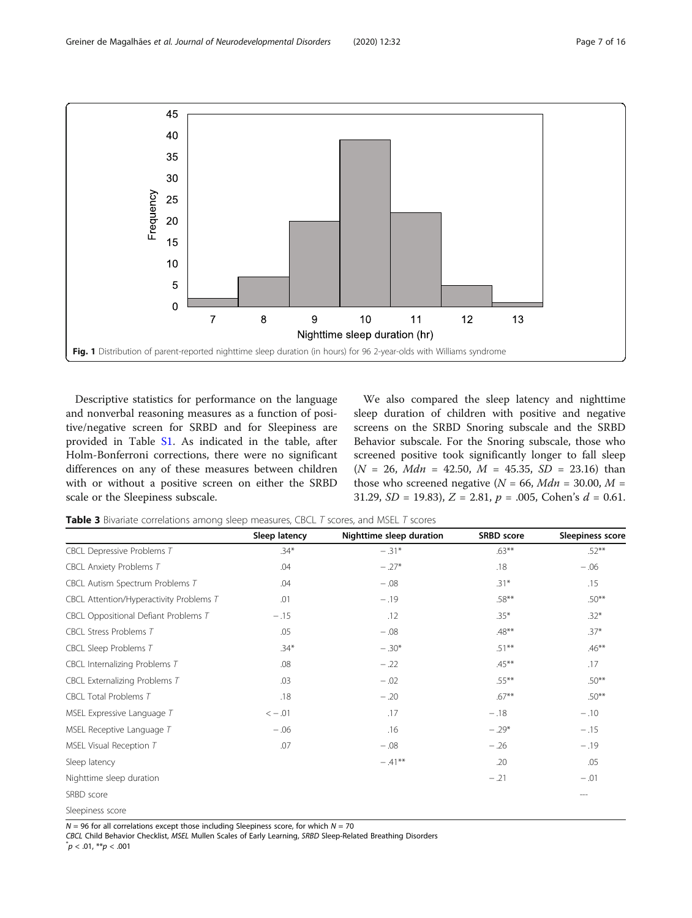<span id="page-6-0"></span>

Descriptive statistics for performance on the language and nonverbal reasoning measures as a function of positive/negative screen for SRBD and for Sleepiness are provided in Table [S1.](#page-13-0) As indicated in the table, after Holm-Bonferroni corrections, there were no significant differences on any of these measures between children with or without a positive screen on either the SRBD scale or the Sleepiness subscale.

We also compared the sleep latency and nighttime sleep duration of children with positive and negative screens on the SRBD Snoring subscale and the SRBD Behavior subscale. For the Snoring subscale, those who screened positive took significantly longer to fall sleep  $(N = 26, Mdn = 42.50, M = 45.35, SD = 23.16)$  than those who screened negative ( $N = 66$ ,  $Mdn = 30.00$ ,  $M =$ 31.29,  $SD = 19.83$ ,  $Z = 2.81$ ,  $p = .005$ , Cohen's  $d = 0.61$ .

| Table 3 Bivariate correlations among sleep measures, CBCL T scores, and MSEL T scores |  |
|---------------------------------------------------------------------------------------|--|
|---------------------------------------------------------------------------------------|--|

|                                         | Sleep latency | Nighttime sleep duration | <b>SRBD</b> score | Sleepiness score |
|-----------------------------------------|---------------|--------------------------|-------------------|------------------|
| CBCL Depressive Problems T              | $.34*$        | $-.31*$                  | $.63***$          | $.52***$         |
| CBCL Anxiety Problems T                 | .04           | $-.27*$                  | .18               | $-.06$           |
| CBCL Autism Spectrum Problems T         | .04           | $-.08$                   | $.31*$            | .15              |
| CBCL Attention/Hyperactivity Problems T | .01           | $-.19$                   | $.58***$          | $.50**$          |
| CBCL Oppositional Defiant Problems T    | $-.15$        | .12                      | $.35*$            | $.32*$           |
| CBCL Stress Problems T                  | .05           | $-.08$                   | $.48***$          | $.37*$           |
| CBCL Sleep Problems T                   | $.34*$        | $-.30*$                  | $.51***$          | $.46***$         |
| CBCL Internalizing Problems T           | .08           | $-.22$                   | $.45***$          | .17              |
| CBCL Externalizing Problems T           | .03           | $-.02$                   | $.55***$          | $.50**$          |
| CBCL Total Problems T                   | .18           | $-.20$                   | $.67***$          | $.50**$          |
| MSEL Expressive Language T              | $<-.01$       | .17                      | $-.18$            | $-.10$           |
| MSEL Receptive Language T               | $-.06$        | .16                      | $-.29*$           | $-.15$           |
| MSEL Visual Reception T                 | .07           | $-.08$                   | $-.26$            | $-.19$           |
| Sleep latency                           |               | $-.41***$                | .20               | .05              |
| Nighttime sleep duration                |               |                          | $-.21$            | $-.01$           |
| SRBD score                              |               |                          |                   | $- - -$          |
| Sleepiness score                        |               |                          |                   |                  |

 $N = 96$  for all correlations except those including Sleepiness score, for which  $N = 70$ 

CBCL Child Behavior Checklist, MSEL Mullen Scales of Early Learning, SRBD Sleep-Related Breathing Disorders \*  $p^*$  < .01,  $* p < .001$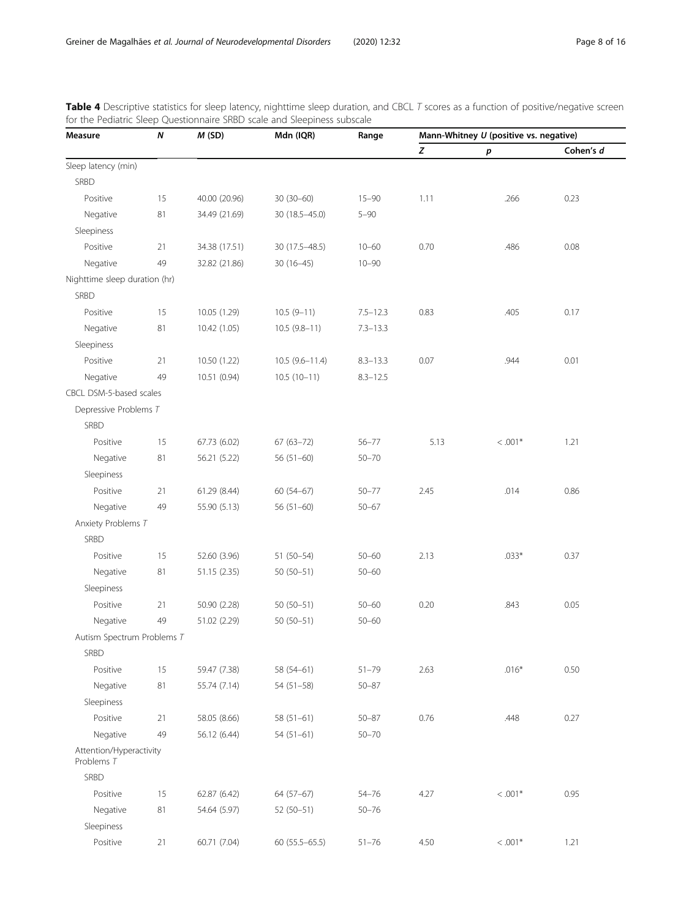| Measure                               | $\boldsymbol{N}$ | M(SD)         | Mdn (IQR)          | Range        | Mann-Whitney U (positive vs. negative) |           |           |  |
|---------------------------------------|------------------|---------------|--------------------|--------------|----------------------------------------|-----------|-----------|--|
|                                       |                  |               |                    |              | Z                                      | р         | Cohen's d |  |
| Sleep latency (min)                   |                  |               |                    |              |                                        |           |           |  |
| SRBD                                  |                  |               |                    |              |                                        |           |           |  |
| Positive                              | 15               | 40.00 (20.96) | 30 (30-60)         | $15 - 90$    | 1.11                                   | .266      | 0.23      |  |
| Negative                              | 81               | 34.49 (21.69) | 30 (18.5-45.0)     | $5 - 90$     |                                        |           |           |  |
| Sleepiness                            |                  |               |                    |              |                                        |           |           |  |
| Positive                              | 21               | 34.38 (17.51) | 30 (17.5-48.5)     | $10 - 60$    | 0.70                                   | .486      | 0.08      |  |
| Negative                              | 49               | 32.82 (21.86) | $30(16-45)$        | $10 - 90$    |                                        |           |           |  |
| Nighttime sleep duration (hr)         |                  |               |                    |              |                                        |           |           |  |
| SRBD                                  |                  |               |                    |              |                                        |           |           |  |
| Positive                              | 15               | 10.05 (1.29)  | $10.5(9-11)$       | $7.5 - 12.3$ | 0.83                                   | .405      | 0.17      |  |
| Negative                              | 81               | 10.42 (1.05)  | $10.5(9.8-11)$     | $7.3 - 13.3$ |                                        |           |           |  |
| Sleepiness                            |                  |               |                    |              |                                        |           |           |  |
| Positive                              | 21               | 10.50 (1.22)  | $10.5(9.6 - 11.4)$ | $8.3 - 13.3$ | 0.07                                   | .944      | 0.01      |  |
| Negative                              | 49               | 10.51 (0.94)  | $10.5(10-11)$      | $8.3 - 12.5$ |                                        |           |           |  |
| CBCL DSM-5-based scales               |                  |               |                    |              |                                        |           |           |  |
| Depressive Problems T                 |                  |               |                    |              |                                        |           |           |  |
| SRBD                                  |                  |               |                    |              |                                        |           |           |  |
| Positive                              | 15               | 67.73 (6.02)  | $67(63 - 72)$      | $56 - 77$    | 5.13                                   | $< .001*$ | 1.21      |  |
| Negative                              | 81               | 56.21 (5.22)  | $56(51-60)$        | $50 - 70$    |                                        |           |           |  |
| Sleepiness                            |                  |               |                    |              |                                        |           |           |  |
| Positive                              | 21               | 61.29 (8.44)  | 60 (54-67)         | $50 - 77$    | 2.45                                   | .014      | 0.86      |  |
| Negative                              | 49               | 55.90 (5.13)  | $56(51-60)$        | $50 - 67$    |                                        |           |           |  |
| Anxiety Problems T                    |                  |               |                    |              |                                        |           |           |  |
| SRBD                                  |                  |               |                    |              |                                        |           |           |  |
| Positive                              | 15               | 52.60 (3.96)  | $51(50-54)$        | $50 - 60$    | 2.13                                   | $.033*$   | 0.37      |  |
| Negative                              | 81               | 51.15 (2.35)  | 50 (50-51)         | $50 - 60$    |                                        |           |           |  |
| Sleepiness                            |                  |               |                    |              |                                        |           |           |  |
| Positive                              | 21               | 50.90 (2.28)  | 50 (50-51)         | $50 - 60$    | 0.20                                   | .843      | 0.05      |  |
| Negative                              | 49               | 51.02 (2.29)  | 50 $(50-51)$       | $50 - 60$    |                                        |           |           |  |
| Autism Spectrum Problems T            |                  |               |                    |              |                                        |           |           |  |
| SRBD                                  |                  |               |                    |              |                                        |           |           |  |
| Positive                              | 15               | 59.47 (7.38)  | 58 (54-61)         | $51 - 79$    | 2.63                                   | $.016*$   | 0.50      |  |
| Negative                              | 81               | 55.74 (7.14)  | $54(51-58)$        | $50 - 87$    |                                        |           |           |  |
| Sleepiness                            |                  |               |                    |              |                                        |           |           |  |
| Positive                              | 21               | 58.05 (8.66)  | $58(51-61)$        | $50 - 87$    | 0.76                                   | .448      | 0.27      |  |
| Negative                              | 49               | 56.12 (6.44)  | $54(51-61)$        | $50 - 70$    |                                        |           |           |  |
| Attention/Hyperactivity<br>Problems T |                  |               |                    |              |                                        |           |           |  |
| SRBD                                  |                  |               |                    |              |                                        |           |           |  |
| Positive                              | 15               | 62.87 (6.42)  | 64 (57-67)         | $54 - 76$    | 4.27                                   | $< .001*$ | 0.95      |  |
| Negative                              | 81               | 54.64 (5.97)  | $52(50-51)$        | $50 - 76$    |                                        |           |           |  |
| Sleepiness                            |                  |               |                    |              |                                        |           |           |  |
| Positive                              | 21               | 60.71 (7.04)  | $60(55.5 - 65.5)$  | $51 - 76$    | 4.50                                   | $< .001*$ | 1.21      |  |

<span id="page-7-0"></span>Table 4 Descriptive statistics for sleep latency, nighttime sleep duration, and CBCL T scores as a function of positive/negative screen for the Pediatric Sleep Questionnaire SRBD scale and Sleepiness subscale  $\overline{a}$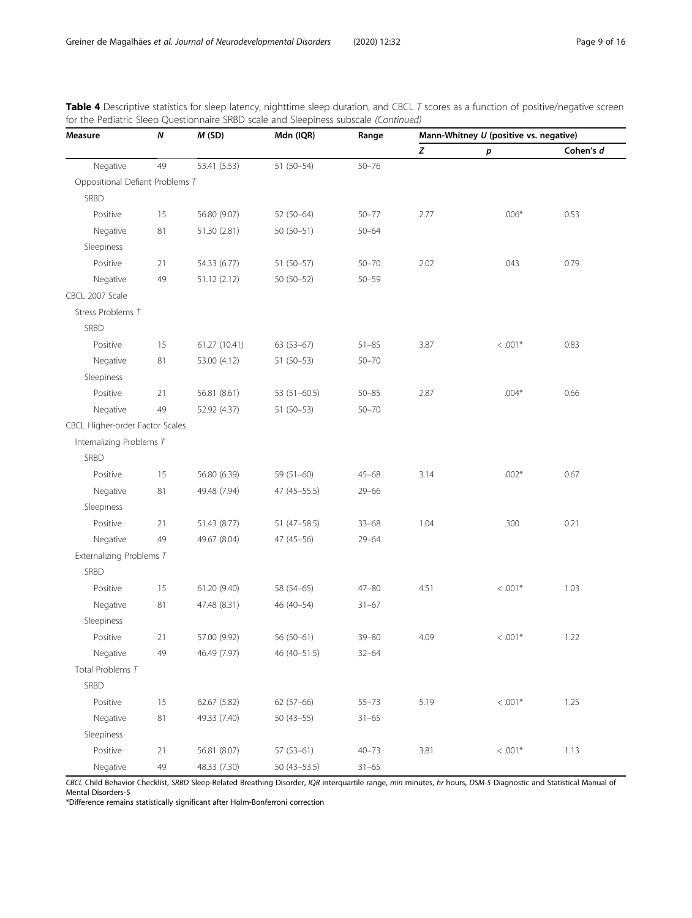| Table 4 Descriptive statistics for sleep latency, nighttime sleep duration, and CBCL T scores as a function of positive/negative screen |
|-----------------------------------------------------------------------------------------------------------------------------------------|
| for the Pediatric Sleep Questionnaire SRBD scale and Sleepiness subscale (Continued)                                                    |

| $\boldsymbol{N}$<br>Measure     |    |               | M(SD)            | Mdn (IQR) | Range | Mann-Whitney U (positive vs. negative) |           |  |  |
|---------------------------------|----|---------------|------------------|-----------|-------|----------------------------------------|-----------|--|--|
|                                 |    |               |                  |           | z     | p                                      | Cohen's d |  |  |
| Negative                        | 49 | 53.41 (5.53)  | 51 (50-54)       | $50 - 76$ |       |                                        |           |  |  |
| Oppositional Defiant Problems T |    |               |                  |           |       |                                        |           |  |  |
| SRBD                            |    |               |                  |           |       |                                        |           |  |  |
| Positive                        | 15 | 56.80 (9.07)  | 52 (50-64)       | $50 - 77$ | 2.77  | $.006*$                                | 0.53      |  |  |
| Negative                        | 81 | 51.30 (2.81)  | 50 (50-51)       | $50 - 64$ |       |                                        |           |  |  |
| Sleepiness                      |    |               |                  |           |       |                                        |           |  |  |
| Positive                        | 21 | 54.33 (6.77)  | 51 (50-57)       | $50 - 70$ | 2.02  | .043                                   | 0.79      |  |  |
| Negative                        | 49 | 51.12 (2.12)  | 50 (50-52)       | $50 - 59$ |       |                                        |           |  |  |
| CBCL 2007 Scale                 |    |               |                  |           |       |                                        |           |  |  |
| Stress Problems T               |    |               |                  |           |       |                                        |           |  |  |
| SRBD                            |    |               |                  |           |       |                                        |           |  |  |
| Positive                        | 15 | 61.27 (10.41) | 63 (53-67)       | $51 - 85$ | 3.87  | $< .001*$                              | 0.83      |  |  |
| Negative                        | 81 | 53.00 (4.12)  | 51 (50-53)       | $50 - 70$ |       |                                        |           |  |  |
| Sleepiness                      |    |               |                  |           |       |                                        |           |  |  |
| Positive                        | 21 | 56.81 (8.61)  | 53 (51-60.5)     | $50 - 85$ | 2.87  | $.004*$                                | 0.66      |  |  |
| Negative                        | 49 | 52.92 (4.37)  | $51(50-53)$      | $50 - 70$ |       |                                        |           |  |  |
| CBCL Higher-order Factor Scales |    |               |                  |           |       |                                        |           |  |  |
| Internalizing Problems T        |    |               |                  |           |       |                                        |           |  |  |
| SRBD                            |    |               |                  |           |       |                                        |           |  |  |
| Positive                        | 15 | 56.80 (6.39)  | 59 (51-60)       | $45 - 68$ | 3.14  | $.002*$                                | 0.67      |  |  |
| Negative                        | 81 | 49.48 (7.94)  | 47 (45-55.5)     | $29 - 66$ |       |                                        |           |  |  |
| Sleepiness                      |    |               |                  |           |       |                                        |           |  |  |
| Positive                        | 21 | 51.43 (8.77)  | 51 (47-58.5)     | $33 - 68$ | 1.04  | .300                                   | 0.21      |  |  |
| Negative                        | 49 | 49.67 (8.04)  | $47(45-56)$      | $29 - 64$ |       |                                        |           |  |  |
| Externalizing Problems T        |    |               |                  |           |       |                                        |           |  |  |
| SRBD                            |    |               |                  |           |       |                                        |           |  |  |
| Positive                        | 15 | 61.20 (9.40)  | 58 (54-65)       | $47 - 80$ | 4.51  | $< .001*$                              | 1.03      |  |  |
| Negative                        | 81 | 47.48 (8.31)  | 46 (40-54)       | $31 - 67$ |       |                                        |           |  |  |
| Sleepiness                      |    |               |                  |           |       |                                        |           |  |  |
| Positive                        | 21 | 57.00 (9.92)  | 56 (50-61)       | $39 - 80$ | 4.09  | $< .001*$                              | 1.22      |  |  |
| Negative                        | 49 | 46.49 (7.97)  | 46 (40-51.5)     | $32 - 64$ |       |                                        |           |  |  |
| Total Problems T                |    |               |                  |           |       |                                        |           |  |  |
| SRBD                            |    |               |                  |           |       |                                        |           |  |  |
| Positive                        | 15 | 62.67 (5.82)  | 62 (57-66)       | $55 - 73$ | 5.19  | $< .001*$                              | 1.25      |  |  |
| Negative                        | 81 | 49.33 (7.40)  | 50 (43-55)       | $31 - 65$ |       |                                        |           |  |  |
| Sleepiness                      |    |               |                  |           |       |                                        |           |  |  |
| Positive                        | 21 | 56.81 (8.07)  | $57(53-61)$      | $40 - 73$ | 3.81  | $< .001*$                              | 1.13      |  |  |
| Negative                        | 49 | 48.33 (7.30)  | 50 $(43 - 53.5)$ | $31 - 65$ |       |                                        |           |  |  |

CBCL Child Behavior Checklist, SRBD Sleep-Related Breathing Disorder, IQR interquartile range, min minutes, hr hours, DSM-5 Diagnostic and Statistical Manual of Mental Disorders-5

\*Difference remains statistically significant after Holm-Bonferroni correction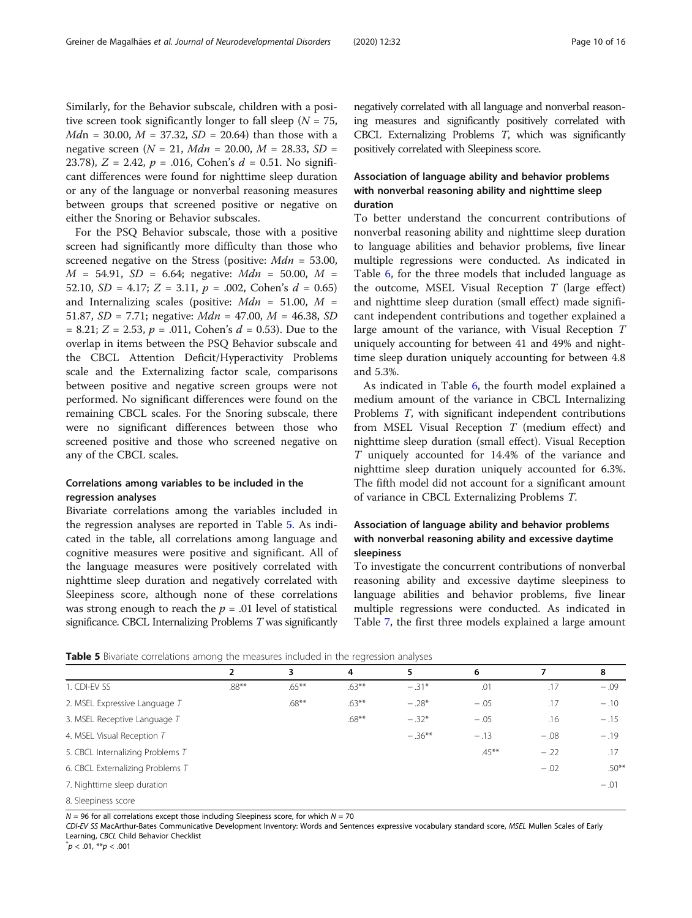Similarly, for the Behavior subscale, children with a positive screen took significantly longer to fall sleep ( $N = 75$ ,  $Mdn = 30.00, M = 37.32, SD = 20.64$  than those with a negative screen ( $N = 21$ ,  $Mdn = 20.00$ ,  $M = 28.33$ ,  $SD =$ 23.78),  $Z = 2.42$ ,  $p = .016$ , Cohen's  $d = 0.51$ . No significant differences were found for nighttime sleep duration or any of the language or nonverbal reasoning measures between groups that screened positive or negative on either the Snoring or Behavior subscales.

For the PSQ Behavior subscale, those with a positive screen had significantly more difficulty than those who screened negative on the Stress (positive:  $Mdn = 53.00$ ,  $M = 54.91$ ,  $SD = 6.64$ ; negative:  $Mdn = 50.00$ ,  $M =$ 52.10,  $SD = 4.17$ ;  $Z = 3.11$ ,  $p = .002$ , Cohen's  $d = 0.65$ ) and Internalizing scales (positive:  $Mdn = 51.00$ ,  $M =$ 51.87,  $SD = 7.71$ ; negative:  $Mdn = 47.00$ ,  $M = 46.38$ , SD  $= 8.21; Z = 2.53, p = .011, \text{ Cohen's } d = 0.53.$  Due to the overlap in items between the PSQ Behavior subscale and the CBCL Attention Deficit/Hyperactivity Problems scale and the Externalizing factor scale, comparisons between positive and negative screen groups were not performed. No significant differences were found on the remaining CBCL scales. For the Snoring subscale, there were no significant differences between those who screened positive and those who screened negative on any of the CBCL scales.

# Correlations among variables to be included in the regression analyses

Bivariate correlations among the variables included in the regression analyses are reported in Table 5. As indicated in the table, all correlations among language and cognitive measures were positive and significant. All of the language measures were positively correlated with nighttime sleep duration and negatively correlated with Sleepiness score, although none of these correlations was strong enough to reach the  $p = .01$  level of statistical significance. CBCL Internalizing Problems T was significantly

negatively correlated with all language and nonverbal reasoning measures and significantly positively correlated with CBCL Externalizing Problems T, which was significantly positively correlated with Sleepiness score.

# Association of language ability and behavior problems with nonverbal reasoning ability and nighttime sleep duration

To better understand the concurrent contributions of nonverbal reasoning ability and nighttime sleep duration to language abilities and behavior problems, five linear multiple regressions were conducted. As indicated in Table [6](#page-10-0), for the three models that included language as the outcome, MSEL Visual Reception  $T$  (large effect) and nighttime sleep duration (small effect) made significant independent contributions and together explained a large amount of the variance, with Visual Reception T uniquely accounting for between 41 and 49% and nighttime sleep duration uniquely accounting for between 4.8 and 5.3%.

As indicated in Table [6](#page-10-0), the fourth model explained a medium amount of the variance in CBCL Internalizing Problems T, with significant independent contributions from MSEL Visual Reception  $T$  (medium effect) and nighttime sleep duration (small effect). Visual Reception T uniquely accounted for 14.4% of the variance and nighttime sleep duration uniquely accounted for 6.3%. The fifth model did not account for a significant amount of variance in CBCL Externalizing Problems T.

# Association of language ability and behavior problems with nonverbal reasoning ability and excessive daytime sleepiness

To investigate the concurrent contributions of nonverbal reasoning ability and excessive daytime sleepiness to language abilities and behavior problems, five linear multiple regressions were conducted. As indicated in Table [7,](#page-11-0) the first three models explained a large amount

|                                  |          | 3        | 4        | 5         | 6        |        | 8        |
|----------------------------------|----------|----------|----------|-----------|----------|--------|----------|
| 1. CDI-EV SS                     | $.88***$ | $.65***$ | $.63***$ | $-.31*$   | .01      | .17    | $-.09$   |
| 2. MSEL Expressive Language T    |          | $.68***$ | $.63***$ | $-.28*$   | $-.05$   | .17    | $-.10$   |
| 3. MSEL Receptive Language $T$   |          |          | $.68***$ | $-.32*$   | $-.05$   | .16    | $-.15$   |
| 4. MSEL Visual Reception T       |          |          |          | $-.36***$ | $-.13$   | $-.08$ | $-.19$   |
| 5. CBCL Internalizing Problems T |          |          |          |           | $.45***$ | $-.22$ | .17      |
| 6. CBCL Externalizing Problems T |          |          |          |           |          | $-.02$ | $.50***$ |
| 7. Nighttime sleep duration      |          |          |          |           |          |        | $-.01$   |
| 8. Sleepiness score              |          |          |          |           |          |        |          |

 $N = 96$  for all correlations except those including Sleepiness score, for which  $N = 70$ 

CDI-EV SS MacArthur-Bates Communicative Development Inventory: Words and Sentences expressive vocabulary standard score, MSEL Mullen Scales of Early Learning, CBCL Child Behavior Checklist \*

 $p^*$  < .01,  $* p < .001$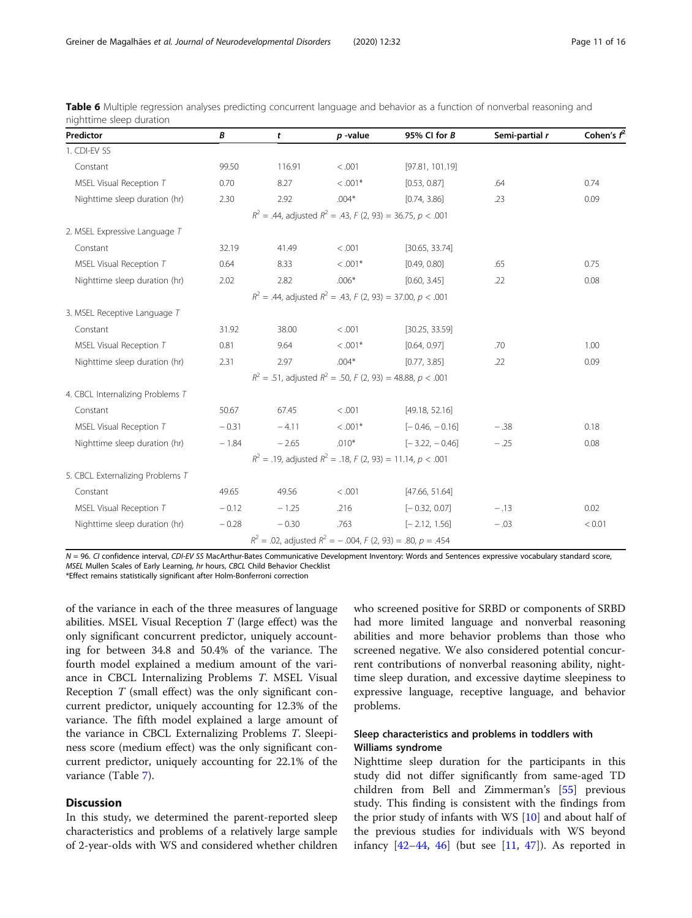| Predictor                        | B       | t       | $p$ -value                                                        | 95% CI for B     | Semi-partial r | Cohen's $f^2$ |
|----------------------------------|---------|---------|-------------------------------------------------------------------|------------------|----------------|---------------|
| 1. CDI-EV SS                     |         |         |                                                                   |                  |                |               |
| Constant                         | 99.50   | 116.91  | < 0.001                                                           | [97.81, 101.19]  |                |               |
| MSEL Visual Reception T          | 0.70    | 8.27    | $< .001*$                                                         | [0.53, 0.87]     | .64            | 0.74          |
| Nighttime sleep duration (hr)    | 2.30    | 2.92    | $.004*$                                                           | [0.74, 3.86]     | .23            | 0.09          |
|                                  |         |         | $R^2 = .44$ , adjusted $R^2 = .43$ , F (2, 93) = 36.75, p < .001  |                  |                |               |
| 2. MSEL Expressive Language T    |         |         |                                                                   |                  |                |               |
| Constant                         | 32.19   | 41.49   | < 0.001                                                           | [30.65, 33.74]   |                |               |
| MSEL Visual Reception T          | 0.64    | 8.33    | $< .001*$                                                         | [0.49, 0.80]     | .65            | 0.75          |
| Nighttime sleep duration (hr)    | 2.02    | 2.82    | $.006*$                                                           | [0.60, 3.45]     | .22            | 0.08          |
|                                  |         |         | $R^2$ = .44, adjusted $R^2$ = .43, F (2, 93) = 37.00, p < .001    |                  |                |               |
| 3. MSEL Receptive Language $T$   |         |         |                                                                   |                  |                |               |
| Constant                         | 31.92   | 38.00   | < 0.001                                                           | [30.25, 33.59]   |                |               |
| MSEL Visual Reception T          | 0.81    | 9.64    | $< .001*$                                                         | [0.64, 0.97]     | .70            | 1.00          |
| Nighttime sleep duration (hr)    | 2.31    | 2.97    | $.004*$                                                           | [0.77, 3.85]     | .22            | 0.09          |
|                                  |         |         | $R^2 = .51$ , adjusted $R^2 = .50$ , F (2, 93) = 48.88, p < .001  |                  |                |               |
| 4. CBCL Internalizing Problems T |         |         |                                                                   |                  |                |               |
| Constant                         | 50.67   | 67.45   | < 0.001                                                           | [49.18, 52.16]   |                |               |
| MSEL Visual Reception T          | $-0.31$ | $-4.11$ | $< .001*$                                                         | $[-0.46, -0.16]$ | $-.38$         | 0.18          |
| Nighttime sleep duration (hr)    | $-1.84$ | $-2.65$ | $.010*$                                                           | $[-3.22, -0.46]$ | $-.25$         | 0.08          |
|                                  |         |         | $R^2 = .19$ , adjusted $R^2 = .18$ , F (2, 93) = 11.14, p < .001  |                  |                |               |
| 5. CBCL Externalizing Problems T |         |         |                                                                   |                  |                |               |
| Constant                         | 49.65   | 49.56   | < .001                                                            | [47.66, 51.64]   |                |               |
| MSEL Visual Reception T          | $-0.12$ | $-1.25$ | .216                                                              | $[-0.32, 0.07]$  | $-.13$         | 0.02          |
| Nighttime sleep duration (hr)    | $-0.28$ | $-0.30$ | .763                                                              | $[-2.12, 1.56]$  | $-.03$         | < 0.01        |
|                                  |         |         | $R^2 = .02$ , adjusted $R^2 = -0.004$ , F (2, 93) = .80, p = .454 |                  |                |               |

<span id="page-10-0"></span>

| Table 6 Multiple regression analyses predicting concurrent language and behavior as a function of nonverbal reasoning and |  |  |  |  |
|---------------------------------------------------------------------------------------------------------------------------|--|--|--|--|
| nighttime sleep duration                                                                                                  |  |  |  |  |

N = 96. CI confidence interval, CDI-EV SS MacArthur-Bates Communicative Development Inventory: Words and Sentences expressive vocabulary standard score, MSEL Mullen Scales of Early Learning, hr hours, CBCL Child Behavior Checklist

\*Effect remains statistically significant after Holm-Bonferroni correction

of the variance in each of the three measures of language abilities. MSEL Visual Reception  $T$  (large effect) was the only significant concurrent predictor, uniquely accounting for between 34.8 and 50.4% of the variance. The fourth model explained a medium amount of the variance in CBCL Internalizing Problems T. MSEL Visual Reception  $T$  (small effect) was the only significant concurrent predictor, uniquely accounting for 12.3% of the variance. The fifth model explained a large amount of the variance in CBCL Externalizing Problems T. Sleepiness score (medium effect) was the only significant concurrent predictor, uniquely accounting for 22.1% of the variance (Table [7](#page-11-0)).

# **Discussion**

In this study, we determined the parent-reported sleep characteristics and problems of a relatively large sample of 2-year-olds with WS and considered whether children who screened positive for SRBD or components of SRBD had more limited language and nonverbal reasoning abilities and more behavior problems than those who screened negative. We also considered potential concurrent contributions of nonverbal reasoning ability, nighttime sleep duration, and excessive daytime sleepiness to expressive language, receptive language, and behavior problems.

# Sleep characteristics and problems in toddlers with Williams syndrome

Nighttime sleep duration for the participants in this study did not differ significantly from same-aged TD children from Bell and Zimmerman's [[55\]](#page-15-0) previous study. This finding is consistent with the findings from the prior study of infants with  $WS$  [\[10](#page-14-0)] and about half of the previous studies for individuals with WS beyond infancy  $[42-44, 46]$  $[42-44, 46]$  $[42-44, 46]$  $[42-44, 46]$  $[42-44, 46]$  (but see  $[11, 47]$  $[11, 47]$  $[11, 47]$ ). As reported in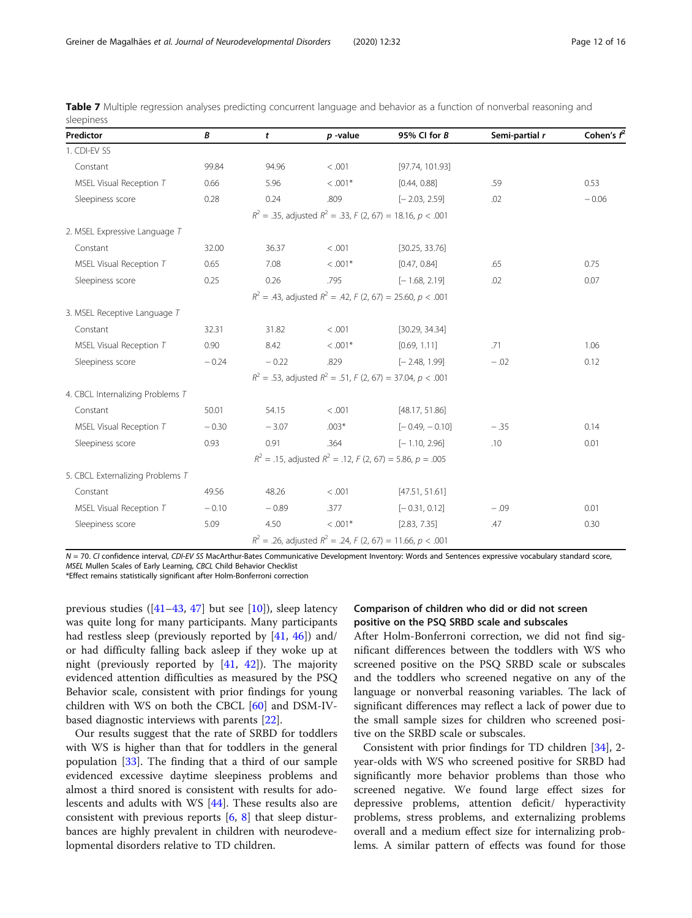| Predictor                        | В       | t       | $p$ -value | 95% CI for B                                                        | Semi-partial r | Cohen's $f^2$ |
|----------------------------------|---------|---------|------------|---------------------------------------------------------------------|----------------|---------------|
| 1. CDI-EV SS                     |         |         |            |                                                                     |                |               |
| Constant                         | 99.84   | 94.96   | < .001     | [97.74, 101.93]                                                     |                |               |
| MSEL Visual Reception T          | 0.66    | 5.96    | $< .001*$  | [0.44, 0.88]                                                        | .59            | 0.53          |
| Sleepiness score                 | 0.28    | 0.24    | .809       | $[-2.03, 2.59]$                                                     | .02            | $-0.06$       |
|                                  |         |         |            | $R^2 = 0.35$ , adjusted $R^2 = 0.33$ , F (2, 67) = 18.16, p < 0.001 |                |               |
| 2. MSEL Expressive Language T    |         |         |            |                                                                     |                |               |
| Constant                         | 32.00   | 36.37   | < 0.001    | [30.25, 33.76]                                                      |                |               |
| MSEL Visual Reception T          | 0.65    | 7.08    | $< .001*$  | [0.47, 0.84]                                                        | .65            | 0.75          |
| Sleepiness score                 | 0.25    | 0.26    | .795       | $[-1.68, 2.19]$                                                     | .02            | 0.07          |
|                                  |         |         |            | $R^2 = .43$ , adjusted $R^2 = .42$ , F (2, 67) = 25.60, p < .001    |                |               |
| 3. MSEL Receptive Language T     |         |         |            |                                                                     |                |               |
| Constant                         | 32.31   | 31.82   | < 0.001    | [30.29, 34.34]                                                      |                |               |
| MSEL Visual Reception T          | 0.90    | 8.42    | $< .001*$  | [0.69, 1.11]                                                        | .71            | 1.06          |
| Sleepiness score                 | $-0.24$ | $-0.22$ | .829       | $[-2.48, 1.99]$                                                     | $-.02$         | 0.12          |
|                                  |         |         |            | $R^2 = .53$ , adjusted $R^2 = .51$ , F (2, 67) = 37.04, p < .001    |                |               |
| 4. CBCL Internalizing Problems T |         |         |            |                                                                     |                |               |
| Constant                         | 50.01   | 54.15   | < .001     | [48.17, 51.86]                                                      |                |               |
| MSEL Visual Reception T          | $-0.30$ | $-3.07$ | $.003*$    | $[-0.49, -0.10]$                                                    | $-.35$         | 0.14          |
| Sleepiness score                 | 0.93    | 0.91    | .364       | $[-1.10, 2.96]$                                                     | .10            | 0.01          |
|                                  |         |         |            | $R^2$ = .15, adjusted $R^2$ = .12, F (2, 67) = 5.86, p = .005       |                |               |
| 5. CBCL Externalizing Problems T |         |         |            |                                                                     |                |               |
| Constant                         | 49.56   | 48.26   | < .001     | [47.51, 51.61]                                                      |                |               |
| MSEL Visual Reception T          | $-0.10$ | $-0.89$ | .377       | $[-0.31, 0.12]$                                                     | $-.09$         | 0.01          |
| Sleepiness score                 | 5.09    | 4.50    | $< 0.001*$ | [2.83, 7.35]                                                        | .47            | 0.30          |
|                                  |         |         |            | $R^2$ = .26, adjusted $R^2$ = .24, F (2, 67) = 11.66, p < .001      |                |               |

<span id="page-11-0"></span>

|            | Table 7 Multiple regression analyses predicting concurrent language and behavior as a function of nonverbal reasoning and |  |  |  |
|------------|---------------------------------------------------------------------------------------------------------------------------|--|--|--|
| sleepiness |                                                                                                                           |  |  |  |

N = 70. CI confidence interval, CDI-EV SS MacArthur-Bates Communicative Development Inventory: Words and Sentences expressive vocabulary standard score, MSEL Mullen Scales of Early Learning, CBCL Child Behavior Checklist

\*Effect remains statistically significant after Holm-Bonferroni correction

previous studies  $([41-43, 47]$  $([41-43, 47]$  $([41-43, 47]$  $([41-43, 47]$  $([41-43, 47]$  $([41-43, 47]$  but see [\[10](#page-14-0)]), sleep latency was quite long for many participants. Many participants had restless sleep (previously reported by [\[41](#page-15-0), [46\]](#page-15-0)) and/ or had difficulty falling back asleep if they woke up at night (previously reported by [[41,](#page-15-0) [42](#page-15-0)]). The majority evidenced attention difficulties as measured by the PSQ Behavior scale, consistent with prior findings for young children with WS on both the CBCL [\[60\]](#page-15-0) and DSM-IVbased diagnostic interviews with parents [\[22\]](#page-14-0).

Our results suggest that the rate of SRBD for toddlers with WS is higher than that for toddlers in the general population [[33\]](#page-14-0). The finding that a third of our sample evidenced excessive daytime sleepiness problems and almost a third snored is consistent with results for adolescents and adults with WS [[44\]](#page-15-0). These results also are consistent with previous reports [\[6](#page-14-0), [8\]](#page-14-0) that sleep disturbances are highly prevalent in children with neurodevelopmental disorders relative to TD children.

# Comparison of children who did or did not screen positive on the PSQ SRBD scale and subscales

After Holm-Bonferroni correction, we did not find significant differences between the toddlers with WS who screened positive on the PSQ SRBD scale or subscales and the toddlers who screened negative on any of the language or nonverbal reasoning variables. The lack of significant differences may reflect a lack of power due to the small sample sizes for children who screened positive on the SRBD scale or subscales.

Consistent with prior findings for TD children [[34\]](#page-14-0), 2 year-olds with WS who screened positive for SRBD had significantly more behavior problems than those who screened negative. We found large effect sizes for depressive problems, attention deficit/ hyperactivity problems, stress problems, and externalizing problems overall and a medium effect size for internalizing problems. A similar pattern of effects was found for those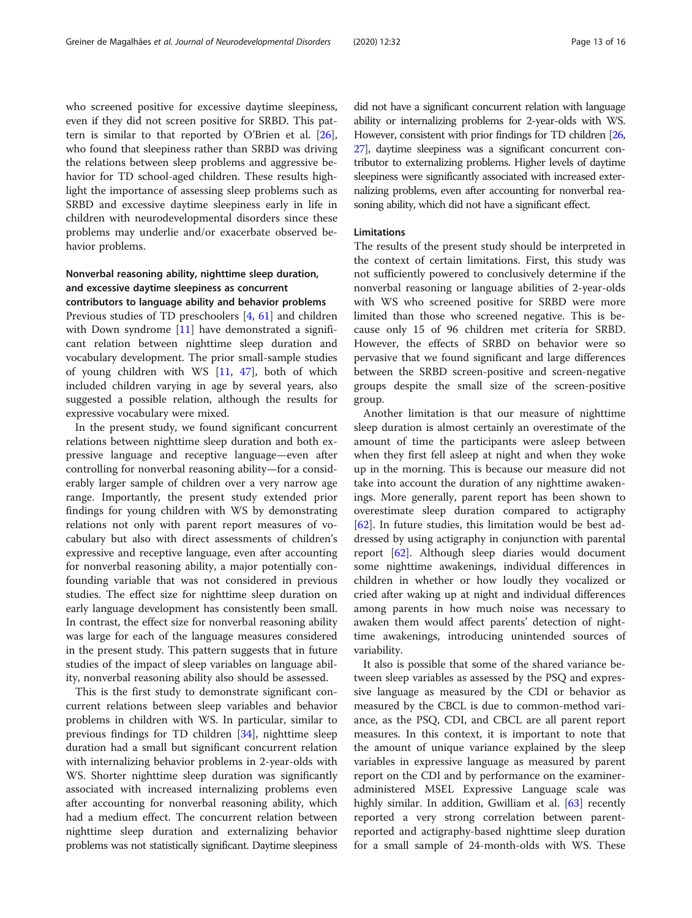who screened positive for excessive daytime sleepiness, even if they did not screen positive for SRBD. This pattern is similar to that reported by O'Brien et al. [\[26](#page-14-0)], who found that sleepiness rather than SRBD was driving the relations between sleep problems and aggressive behavior for TD school-aged children. These results highlight the importance of assessing sleep problems such as SRBD and excessive daytime sleepiness early in life in children with neurodevelopmental disorders since these problems may underlie and/or exacerbate observed behavior problems.

# Nonverbal reasoning ability, nighttime sleep duration, and excessive daytime sleepiness as concurrent

contributors to language ability and behavior problems Previous studies of TD preschoolers [\[4](#page-14-0), [61](#page-15-0)] and children with Down syndrome [\[11](#page-14-0)] have demonstrated a significant relation between nighttime sleep duration and vocabulary development. The prior small-sample studies of young children with WS [[11](#page-14-0), [47](#page-15-0)], both of which included children varying in age by several years, also suggested a possible relation, although the results for expressive vocabulary were mixed.

In the present study, we found significant concurrent relations between nighttime sleep duration and both expressive language and receptive language—even after controlling for nonverbal reasoning ability—for a considerably larger sample of children over a very narrow age range. Importantly, the present study extended prior findings for young children with WS by demonstrating relations not only with parent report measures of vocabulary but also with direct assessments of children's expressive and receptive language, even after accounting for nonverbal reasoning ability, a major potentially confounding variable that was not considered in previous studies. The effect size for nighttime sleep duration on early language development has consistently been small. In contrast, the effect size for nonverbal reasoning ability was large for each of the language measures considered in the present study. This pattern suggests that in future studies of the impact of sleep variables on language ability, nonverbal reasoning ability also should be assessed.

This is the first study to demonstrate significant concurrent relations between sleep variables and behavior problems in children with WS. In particular, similar to previous findings for TD children [\[34\]](#page-14-0), nighttime sleep duration had a small but significant concurrent relation with internalizing behavior problems in 2-year-olds with WS. Shorter nighttime sleep duration was significantly associated with increased internalizing problems even after accounting for nonverbal reasoning ability, which had a medium effect. The concurrent relation between nighttime sleep duration and externalizing behavior problems was not statistically significant. Daytime sleepiness did not have a significant concurrent relation with language ability or internalizing problems for 2-year-olds with WS. However, consistent with prior findings for TD children [\[26](#page-14-0), [27](#page-14-0)], daytime sleepiness was a significant concurrent contributor to externalizing problems. Higher levels of daytime sleepiness were significantly associated with increased externalizing problems, even after accounting for nonverbal reasoning ability, which did not have a significant effect.

# Limitations

The results of the present study should be interpreted in the context of certain limitations. First, this study was not sufficiently powered to conclusively determine if the nonverbal reasoning or language abilities of 2-year-olds with WS who screened positive for SRBD were more limited than those who screened negative. This is because only 15 of 96 children met criteria for SRBD. However, the effects of SRBD on behavior were so pervasive that we found significant and large differences between the SRBD screen-positive and screen-negative groups despite the small size of the screen-positive group.

Another limitation is that our measure of nighttime sleep duration is almost certainly an overestimate of the amount of time the participants were asleep between when they first fell asleep at night and when they woke up in the morning. This is because our measure did not take into account the duration of any nighttime awakenings. More generally, parent report has been shown to overestimate sleep duration compared to actigraphy [[62\]](#page-15-0). In future studies, this limitation would be best addressed by using actigraphy in conjunction with parental report [[62](#page-15-0)]. Although sleep diaries would document some nighttime awakenings, individual differences in children in whether or how loudly they vocalized or cried after waking up at night and individual differences among parents in how much noise was necessary to awaken them would affect parents' detection of nighttime awakenings, introducing unintended sources of variability.

It also is possible that some of the shared variance between sleep variables as assessed by the PSQ and expressive language as measured by the CDI or behavior as measured by the CBCL is due to common-method variance, as the PSQ, CDI, and CBCL are all parent report measures. In this context, it is important to note that the amount of unique variance explained by the sleep variables in expressive language as measured by parent report on the CDI and by performance on the examineradministered MSEL Expressive Language scale was highly similar. In addition, Gwilliam et al. [\[63\]](#page-15-0) recently reported a very strong correlation between parentreported and actigraphy-based nighttime sleep duration for a small sample of 24-month-olds with WS. These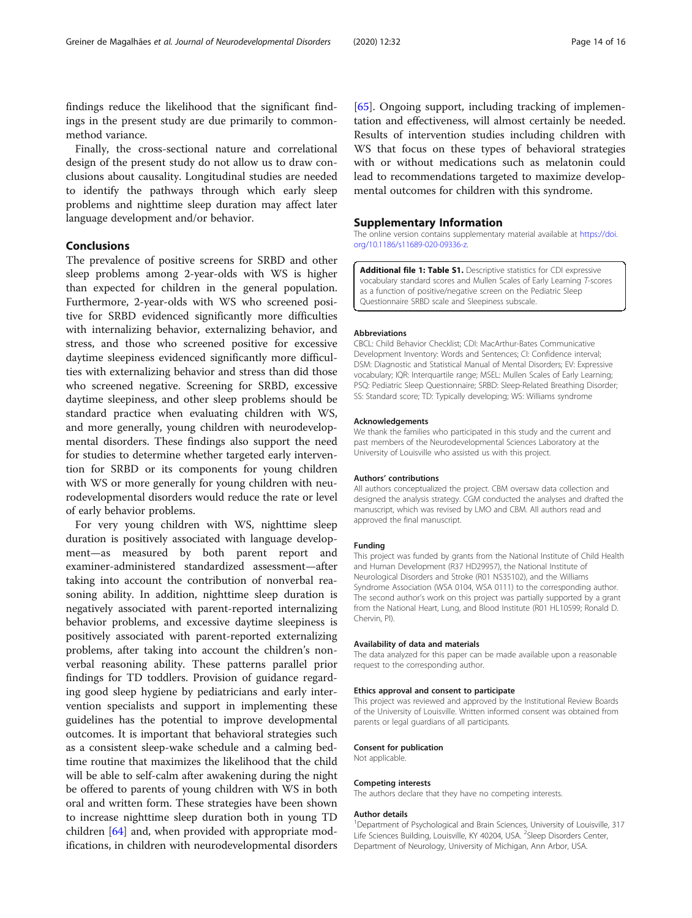<span id="page-13-0"></span>findings reduce the likelihood that the significant findings in the present study are due primarily to commonmethod variance.

Finally, the cross-sectional nature and correlational design of the present study do not allow us to draw conclusions about causality. Longitudinal studies are needed to identify the pathways through which early sleep problems and nighttime sleep duration may affect later language development and/or behavior.

# Conclusions

The prevalence of positive screens for SRBD and other sleep problems among 2-year-olds with WS is higher than expected for children in the general population. Furthermore, 2-year-olds with WS who screened positive for SRBD evidenced significantly more difficulties with internalizing behavior, externalizing behavior, and stress, and those who screened positive for excessive daytime sleepiness evidenced significantly more difficulties with externalizing behavior and stress than did those who screened negative. Screening for SRBD, excessive daytime sleepiness, and other sleep problems should be standard practice when evaluating children with WS, and more generally, young children with neurodevelopmental disorders. These findings also support the need for studies to determine whether targeted early intervention for SRBD or its components for young children with WS or more generally for young children with neurodevelopmental disorders would reduce the rate or level of early behavior problems.

For very young children with WS, nighttime sleep duration is positively associated with language development—as measured by both parent report and examiner-administered standardized assessment—after taking into account the contribution of nonverbal reasoning ability. In addition, nighttime sleep duration is negatively associated with parent-reported internalizing behavior problems, and excessive daytime sleepiness is positively associated with parent-reported externalizing problems, after taking into account the children's nonverbal reasoning ability. These patterns parallel prior findings for TD toddlers. Provision of guidance regarding good sleep hygiene by pediatricians and early intervention specialists and support in implementing these guidelines has the potential to improve developmental outcomes. It is important that behavioral strategies such as a consistent sleep-wake schedule and a calming bedtime routine that maximizes the likelihood that the child will be able to self-calm after awakening during the night be offered to parents of young children with WS in both oral and written form. These strategies have been shown to increase nighttime sleep duration both in young TD children [[64](#page-15-0)] and, when provided with appropriate modifications, in children with neurodevelopmental disorders

[[65\]](#page-15-0). Ongoing support, including tracking of implementation and effectiveness, will almost certainly be needed. Results of intervention studies including children with WS that focus on these types of behavioral strategies with or without medications such as melatonin could lead to recommendations targeted to maximize developmental outcomes for children with this syndrome.

## Supplementary Information

The online version contains supplementary material available at [https://doi.](https://doi.org/10.1186/s11689-020-09336-z) [org/10.1186/s11689-020-09336-z](https://doi.org/10.1186/s11689-020-09336-z).

Additional file 1: Table S1. Descriptive statistics for CDI expressive vocabulary standard scores and Mullen Scales of Early Learning T-scores as a function of positive/negative screen on the Pediatric Sleep Questionnaire SRBD scale and Sleepiness subscale.

## Abbreviations

CBCL: Child Behavior Checklist; CDI: MacArthur-Bates Communicative Development Inventory: Words and Sentences; CI: Confidence interval; DSM: Diagnostic and Statistical Manual of Mental Disorders; EV: Expressive vocabulary; IQR: Interquartile range; MSEL: Mullen Scales of Early Learning; PSQ: Pediatric Sleep Questionnaire; SRBD: Sleep-Related Breathing Disorder; SS: Standard score; TD: Typically developing; WS: Williams syndrome

#### Acknowledgements

We thank the families who participated in this study and the current and past members of the Neurodevelopmental Sciences Laboratory at the University of Louisville who assisted us with this project.

#### Authors' contributions

All authors conceptualized the project. CBM oversaw data collection and designed the analysis strategy. CGM conducted the analyses and drafted the manuscript, which was revised by LMO and CBM. All authors read and approved the final manuscript.

#### Funding

This project was funded by grants from the National Institute of Child Health and Human Development (R37 HD29957), the National Institute of Neurological Disorders and Stroke (R01 NS35102), and the Williams Syndrome Association (WSA 0104, WSA 0111) to the corresponding author. The second author's work on this project was partially supported by a grant from the National Heart, Lung, and Blood Institute (R01 HL10599; Ronald D. Chervin, PI).

#### Availability of data and materials

The data analyzed for this paper can be made available upon a reasonable request to the corresponding author.

#### Ethics approval and consent to participate

This project was reviewed and approved by the Institutional Review Boards of the University of Louisville. Written informed consent was obtained from parents or legal guardians of all participants.

#### Consent for publication

Not applicable.

#### Competing interests

The authors declare that they have no competing interests.

#### Author details

<sup>1</sup>Department of Psychological and Brain Sciences, University of Louisville, 317 Life Sciences Building, Louisville, KY 40204, USA. <sup>2</sup>Sleep Disorders Center Department of Neurology, University of Michigan, Ann Arbor, USA.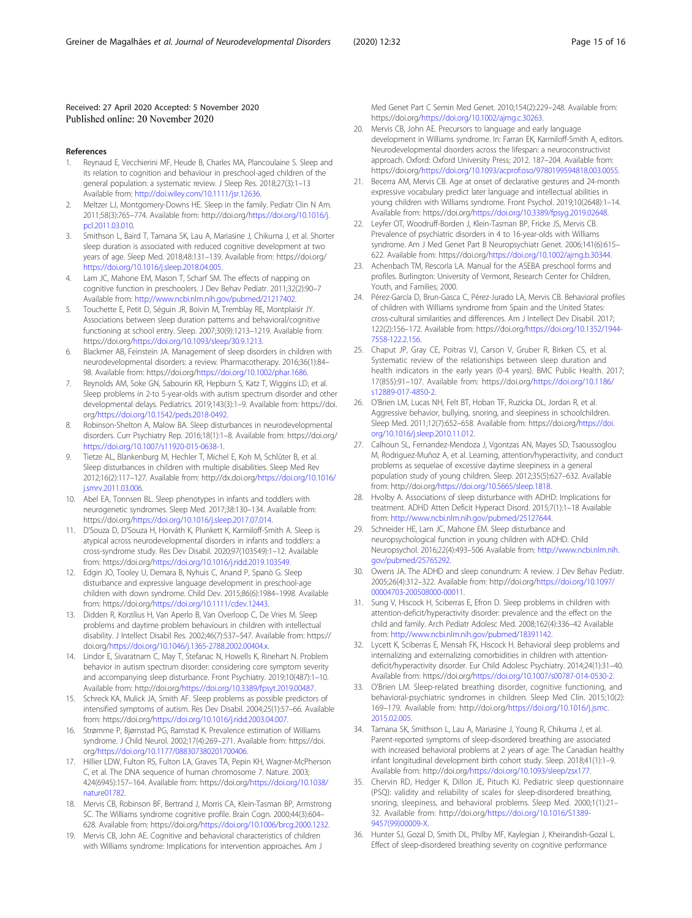<span id="page-14-0"></span>Received: 27 April 2020 Accepted: 5 November 2020 Published online: 20 November 2020

#### References

- 1. Reynaud E, Vecchierini MF, Heude B, Charles MA, Plancoulaine S. Sleep and its relation to cognition and behaviour in preschool-aged children of the general population: a systematic review. J Sleep Res. 2018;27(3):1–13 Available from: [http://doi.wiley.com/10.1111/jsr.12636.](http://doi.wiley.com/10.1111/jsr.12636)
- Meltzer LJ, Montgomery-Downs HE. Sleep in the family. Pediatr Clin N Am. 2011;58(3):765–774. Available from: http://doi.org/[https://doi.org/10.1016/j.](https://doi.org/10.1016/j.pcl.2011.03.010) [pcl.2011.03.010](https://doi.org/10.1016/j.pcl.2011.03.010).
- 3. Smithson L, Baird T, Tamana SK, Lau A, Mariasine J, Chikuma J, et al. Shorter sleep duration is associated with reduced cognitive development at two years of age. Sleep Med. 2018;48:131–139. Available from: https://doi.org/ [https://doi.org/10.1016/j.sleep.2018.04.005.](https://doi.org/10.1016/j.sleep.2018.04.005)
- Lam JC, Mahone EM, Mason T, Scharf SM. The effects of napping on cognitive function in preschoolers. J Dev Behav Pediatr. 2011;32(2):90–7 Available from: <http://www.ncbi.nlm.nih.gov/pubmed/21217402>.
- 5. Touchette E, Petit D, Séguin JR, Boivin M, Tremblay RE, Montplaisir JY. Associations between sleep duration patterns and behavioral/cognitive functioning at school entry. Sleep. 2007;30(9):1213–1219. Available from: https://doi.org/<https://doi.org/10.1093/sleep/30.9.1213>.
- 6. Blackmer AB, Feinstein JA. Management of sleep disorders in children with neurodevelopmental disorders: a review. Pharmacotherapy. 2016;36(1):84– 98. Available from: https://doi.org[/https://doi.org/10.1002/phar.1686](https://doi.org/10.1002/phar.1686).
- 7. Reynolds AM, Soke GN, Sabourin KR, Hepburn S, Katz T, Wiggins LD, et al. Sleep problems in 2-to 5-year-olds with autism spectrum disorder and other developmental delays. Pediatrics. 2019;143(3):1–9. Available from: https://doi. org/<https://doi.org/10.1542/peds.2018-0492>.
- 8. Robinson-Shelton A, Malow BA. Sleep disturbances in neurodevelopmental disorders. Curr Psychiatry Rep. 2016;18(1):1–8. Available from: https://doi.org/ <https://doi.org/10.1007/s11920-015-0638-1>.
- Tietze AL, Blankenburg M, Hechler T, Michel E, Koh M, Schlüter B, et al. Sleep disturbances in children with multiple disabilities. Sleep Med Rev 2012;16(2):117–127. Available from: http://dx.doi.org/[https://doi.org/10.1016/](https://doi.org/10.1016/j.smrv.2011.03.006) [j.smrv.2011.03.006](https://doi.org/10.1016/j.smrv.2011.03.006).
- 10. Abel EA, Tonnsen BL. Sleep phenotypes in infants and toddlers with neurogenetic syndromes. Sleep Med. 2017;38:130–134. Available from: https://doi.org/[https://doi.org/10.1016/j.sleep.2017.07.014.](https://doi.org/10.1016/j.sleep.2017.07.014)
- 11. D'Souza D, D'Souza H, Horváth K, Plunkett K, Karmiloff-Smith A. Sleep is atypical across neurodevelopmental disorders in infants and toddlers: a cross-syndrome study. Res Dev Disabil. 2020;97(103549):1–12. Available from: https://doi.org/<https://doi.org/10.1016/j.ridd.2019.103549>.
- 12. Edgin JO, Tooley U, Demara B, Nyhuis C, Anand P, Spanò G. Sleep disturbance and expressive language development in preschool-age children with down syndrome. Child Dev. 2015;86(6):1984–1998. Available from: https://doi.org/[https://doi.org/10.1111/cdev.12443.](https://doi.org/10.1111/cdev.12443)
- 13. Didden R, Korzilius H, Van Aperlo B, Van Overloop C, De Vries M. Sleep problems and daytime problem behaviours in children with intellectual disability. J Intellect Disabil Res. 2002;46(7):537–547. Available from: https:// doi.org[/https://doi.org/10.1046/j.1365-2788.2002.00404.x.](https://doi.org/10.1046/j.1365-2788.2002.00404.x)
- 14. Lindor E, Sivaratnam C, May T, Stefanac N, Howells K, Rinehart N. Problem behavior in autism spectrum disorder: considering core symptom severity and accompanying sleep disturbance. Front Psychiatry. 2019;10(487):1–10. Available from: http://doi.org/<https://doi.org/10.3389/fpsyt.2019.00487>.
- 15. Schreck KA, Mulick JA, Smith AF. Sleep problems as possible predictors of intensified symptoms of autism. Res Dev Disabil. 2004;25(1):57–66. Available from: https://doi.org/<https://doi.org/10.1016/j.ridd.2003.04.007>.
- 16. Strømme P, Bjørnstad PG, Ramstad K. Prevalence estimation of Williams syndrome. J Child Neurol. 2002;17(4):269–271. Available from: https://doi. org/<https://doi.org/10.1177/088307380201700406>.
- 17. Hillier LDW, Fulton RS, Fulton LA, Graves TA, Pepin KH, Wagner-McPherson C, et al. The DNA sequence of human chromosome 7. Nature. 2003; 424(6945):157–164. Available from: https://doi.org[/https://doi.org/10.1038/](https://doi.org/10.1038/nature01782) [nature01782](https://doi.org/10.1038/nature01782).
- 18. Mervis CB, Robinson BF, Bertrand J, Morris CA, Klein-Tasman BP, Armstrong SC. The Williams syndrome cognitive profile. Brain Cogn. 2000;44(3):604– 628. Available from: https://doi.org/[https://doi.org/10.1006/brcg.2000.1232.](https://doi.org/10.1006/brcg.2000.1232)
- 19. Mervis CB, John AE. Cognitive and behavioral characteristics of children with Williams syndrome: Implications for intervention approaches. Am J

Med Genet Part C Semin Med Genet. 2010;154(2):229–248. Available from: https://doi.org/[https://doi.org/10.1002/ajmg.c.30263.](https://doi.org/10.1002/ajmg.c.30263)

- 20. Mervis CB, John AE. Precursors to language and early language development in Williams syndrome. In: Farran EK, Karmiloff-Smith A, editors. Neurodevelopmental disorders across the lifespan: a neuroconstructivist approach. Oxford: Oxford University Press; 2012. 187–204. Available from: https://doi.org/<https://doi.org/10.1093/acprof:oso/9780199594818.003.0055>.
- 21. Becerra AM, Mervis CB. Age at onset of declarative gestures and 24-month expressive vocabulary predict later language and intellectual abilities in young children with Williams syndrome. Front Psychol. 2019;10(2648):1–14. Available from: https://doi.org[/https://doi.org/10.3389/fpsyg.2019.02648.](https://doi.org/10.3389/fpsyg.2019.02648)
- 22. Leyfer OT, Woodruff-Borden J, Klein-Tasman BP, Fricke JS, Mervis CB. Prevalence of psychiatric disorders in 4 to 16-year-olds with Williams syndrome. Am J Med Genet Part B Neuropsychiatr Genet. 2006;141(6):615– 622. Available from: https://doi.org/[https://doi.org/10.1002/ajmg.b.30344.](https://doi.org/10.1002/ajmg.b.30344)
- 23. Achenbach TM, Rescorla LA. Manual for the ASEBA preschool forms and profiles. Burlington: University of Vermont, Research Center for Children, Youth, and Families; 2000.
- 24. Pérez-García D, Brun-Gasca C, Pérez-Jurado LA, Mervis CB. Behavioral profiles of children with Williams syndrome from Spain and the United States: cross-cultural similarities and differences. Am J Intellect Dev Disabil. 2017; 122(2):156–172. Available from: https://doi.org[/https://doi.org/10.1352/1944-](https://doi.org/10.1352/1944-7558-122.2.156) [7558-122.2.156.](https://doi.org/10.1352/1944-7558-122.2.156)
- 25. Chaput JP, Gray CE, Poitras VJ, Carson V, Gruber R, Birken CS, et al. Systematic review of the relationships between sleep duration and health indicators in the early years (0-4 years). BMC Public Health. 2017; 17(855):91–107. Available from: https://doi.org[/https://doi.org/10.1186/](https://doi.org/10.1186/s12889-017-4850-2) [s12889-017-4850-2](https://doi.org/10.1186/s12889-017-4850-2).
- 26. O'Brien LM, Lucas NH, Felt BT, Hoban TF, Ruzicka DL, Jordan R, et al. Aggressive behavior, bullying, snoring, and sleepiness in schoolchildren. Sleep Med. 2011;12(7):652–658. Available from: https://doi.org[/https://doi.](https://doi.org/10.1016/j.sleep.2010.11.012) [org/10.1016/j.sleep.2010.11.012.](https://doi.org/10.1016/j.sleep.2010.11.012)
- 27. Calhoun SL, Fernandez-Mendoza J, Vgontzas AN, Mayes SD, Tsaoussoglou M, Rodriguez-Muñoz A, et al. Learning, attention/hyperactivity, and conduct problems as sequelae of excessive daytime sleepiness in a general population study of young children. Sleep. 2012;35(5):627–632. Available from: http://doi.org/[https://doi.org/10.5665/sleep.1818.](https://doi.org/10.5665/sleep.1818)
- 28. Hvolby A. Associations of sleep disturbance with ADHD: Implications for treatment. ADHD Atten Deficit Hyperact Disord. 2015;7(1):1–18 Available from: [http://www.ncbi.nlm.nih.gov/pubmed/25127644.](http://www.ncbi.nlm.nih.gov/pubmed/25127644)
- 29. Schneider HE, Lam JC, Mahone EM. Sleep disturbance and neuropsychological function in young children with ADHD. Child Neuropsychol. 2016;22(4):493–506 Available from: [http://www.ncbi.nlm.nih.](http://www.ncbi.nlm.nih.gov/pubmed/25765292) [gov/pubmed/25765292](http://www.ncbi.nlm.nih.gov/pubmed/25765292).
- 30. Owens JA. The ADHD and sleep conundrum: A review. J Dev Behav Pediatr. 2005;26(4):312–322. Available from: http://doi.org/[https://doi.org/10.1097/](https://doi.org/10.1097/00004703-200508000-00011) [00004703-200508000-00011.](https://doi.org/10.1097/00004703-200508000-00011)
- 31. Sung V, Hiscock H, Sciberras E, Efron D. Sleep problems in children with attention-deficit/hyperactivity disorder: prevalence and the effect on the child and family. Arch Pediatr Adolesc Med. 2008;162(4):336–42 Available from: [http://www.ncbi.nlm.nih.gov/pubmed/18391142.](http://www.ncbi.nlm.nih.gov/pubmed/18391142)
- 32. Lycett K, Sciberras E, Mensah FK, Hiscock H. Behavioral sleep problems and internalizing and externalizing comorbidities in children with attentiondeficit/hyperactivity disorder. Eur Child Adolesc Psychiatry. 2014;24(1):31–40. Available from: https://doi.org[/https://doi.org/10.1007/s00787-014-0530-2.](https://doi.org/10.1007/s00787-014-0530-2)
- 33. O'Brien LM. Sleep-related breathing disorder, cognitive functioning, and behavioral-psychiatric syndromes in children. Sleep Med Clin. 2015;10(2): 169–179. Available from: http://doi.org[/https://doi.org/10.1016/j.jsmc.](https://doi.org/10.1016/j.jsmc.2015.02.005) [2015.02.005.](https://doi.org/10.1016/j.jsmc.2015.02.005)
- 34. Tamana SK, Smithson L, Lau A, Mariasine J, Young R, Chikuma J, et al. Parent-reported symptoms of sleep-disordered breathing are associated with increased behavioral problems at 2 years of age: The Canadian healthy infant longitudinal development birth cohort study. Sleep. 2018;41(1):1–9. Available from: http://doi.org/[https://doi.org/10.1093/sleep/zsx177.](https://doi.org/10.1093/sleep/zsx177)
- 35. Chervin RD, Hedger K, Dillon JE, Pituch KJ. Pediatric sleep questionnaire (PSQ): validity and reliability of scales for sleep-disordered breathing, snoring, sleepiness, and behavioral problems. Sleep Med. 2000;1(1):21– 32. Available from: http://doi.org/[https://doi.org/10.1016/S1389-](https://doi.org/10.1016/S1389-9457(99)00009-X) [9457\(99\)00009-X](https://doi.org/10.1016/S1389-9457(99)00009-X).
- 36. Hunter SJ, Gozal D, Smith DL, Philby MF, Kaylegian J, Kheirandish-Gozal L. Effect of sleep-disordered breathing severity on cognitive performance